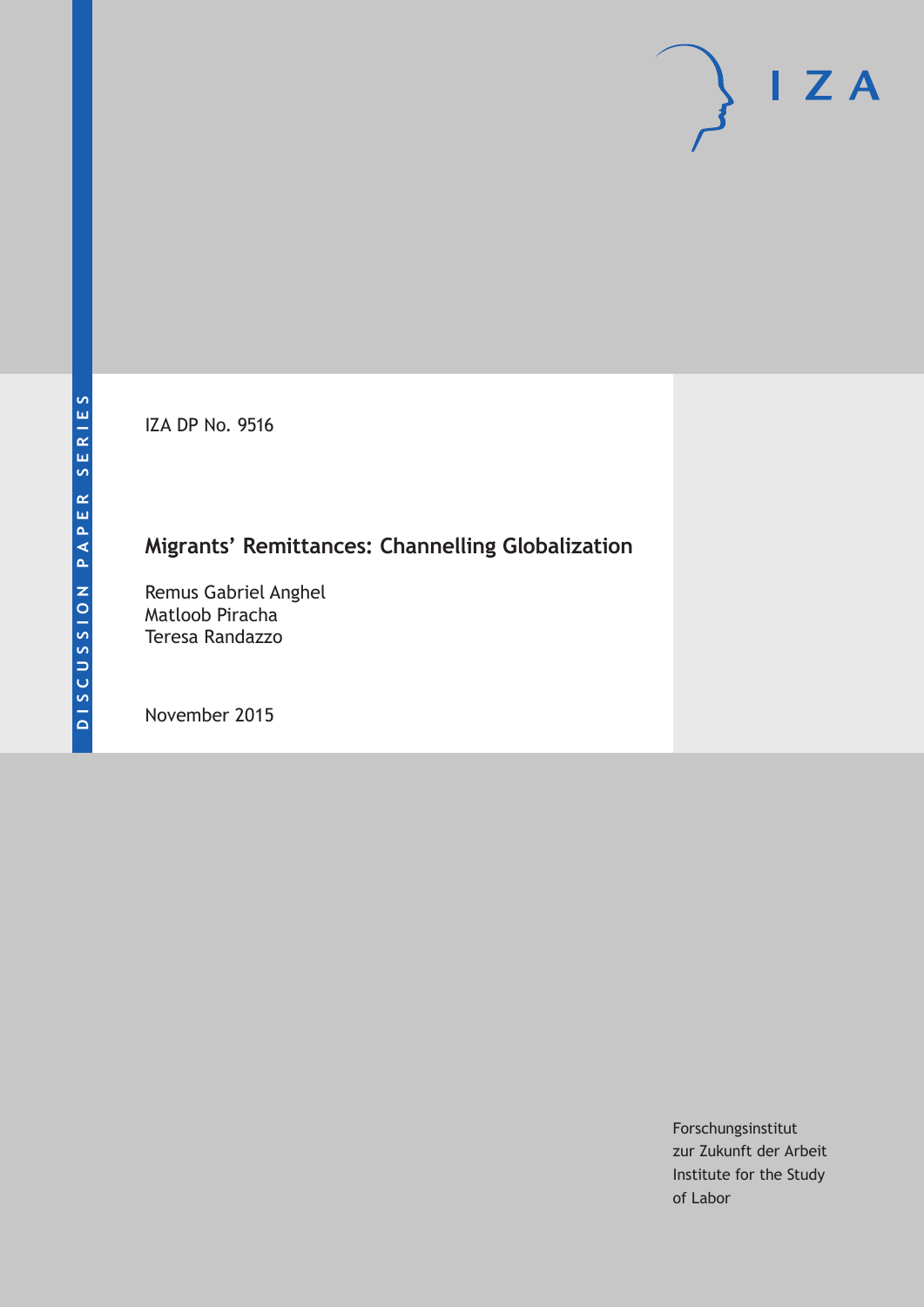IZA DP No. 9516

# **Migrants' Remittances: Channelling Globalization**

Remus Gabriel Anghel Matloob Piracha Teresa Randazzo

November 2015

Forschungsinstitut zur Zukunft der Arbeit Institute for the Study of Labor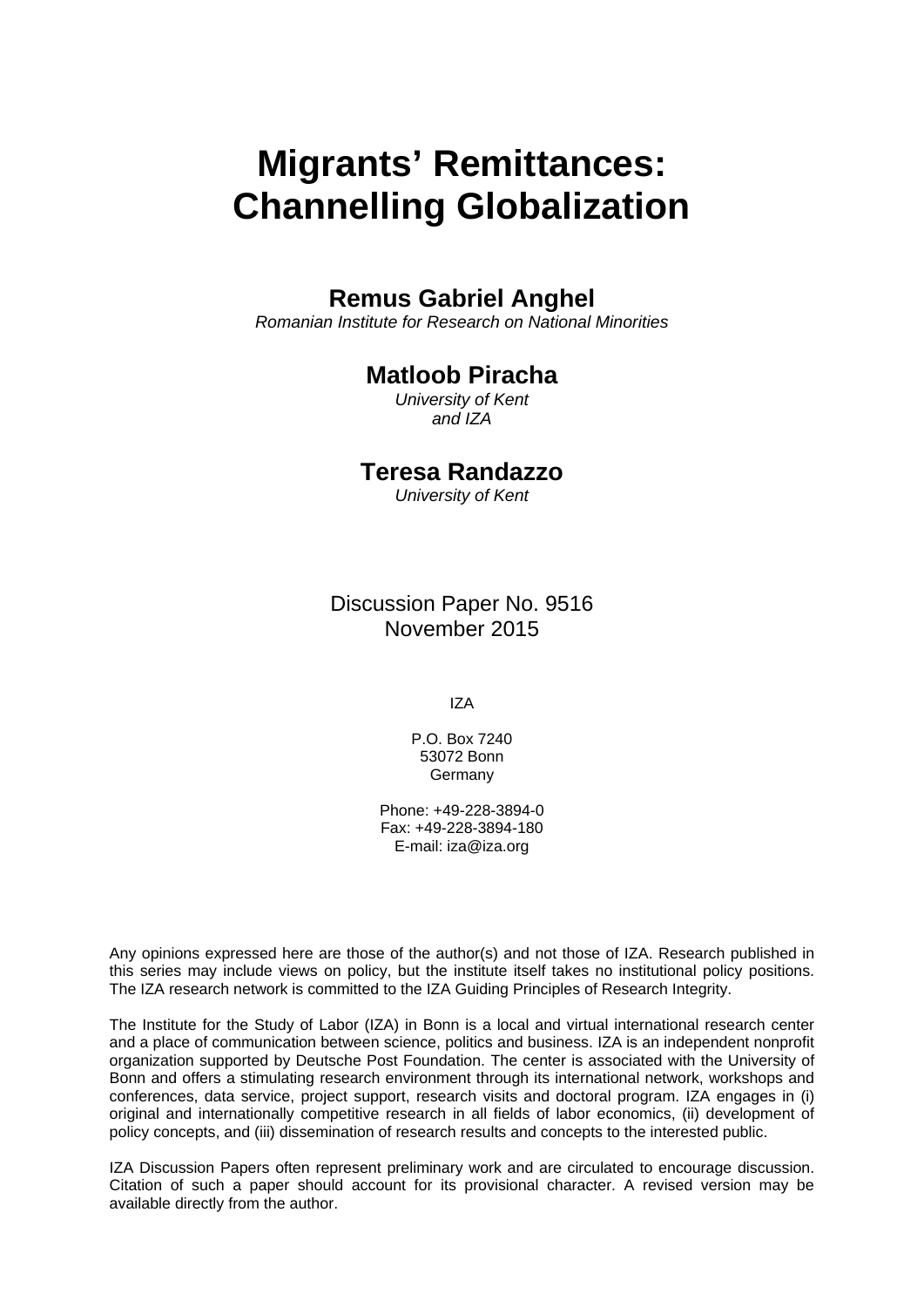# **Migrants' Remittances: Channelling Globalization**

### **Remus Gabriel Anghel**

*Romanian Institute for Research on National Minorities* 

### **Matloob Piracha**

*University of Kent and IZA* 

### **Teresa Randazzo**

*University of Kent*

Discussion Paper No. 9516 November 2015

IZA

P.O. Box 7240 53072 Bonn Germany

Phone: +49-228-3894-0 Fax: +49-228-3894-180 E-mail: iza@iza.org

Any opinions expressed here are those of the author(s) and not those of IZA. Research published in this series may include views on policy, but the institute itself takes no institutional policy positions. The IZA research network is committed to the IZA Guiding Principles of Research Integrity.

The Institute for the Study of Labor (IZA) in Bonn is a local and virtual international research center and a place of communication between science, politics and business. IZA is an independent nonprofit organization supported by Deutsche Post Foundation. The center is associated with the University of Bonn and offers a stimulating research environment through its international network, workshops and conferences, data service, project support, research visits and doctoral program. IZA engages in (i) original and internationally competitive research in all fields of labor economics, (ii) development of policy concepts, and (iii) dissemination of research results and concepts to the interested public.

IZA Discussion Papers often represent preliminary work and are circulated to encourage discussion. Citation of such a paper should account for its provisional character. A revised version may be available directly from the author.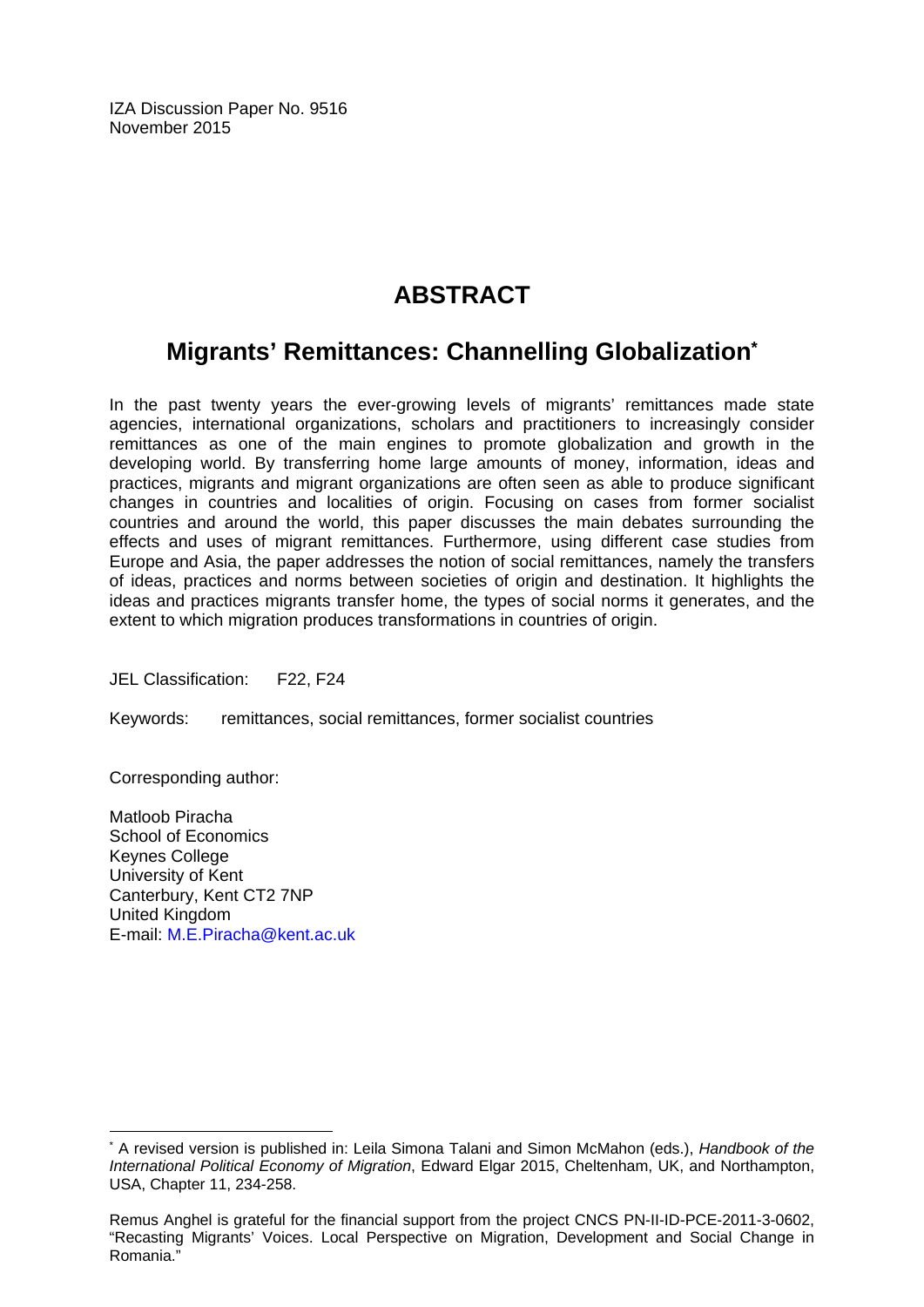IZA Discussion Paper No. 9516 November 2015

# **ABSTRACT**

## **Migrants' Remittances: Channelling Globalization\***

In the past twenty years the ever-growing levels of migrants' remittances made state agencies, international organizations, scholars and practitioners to increasingly consider remittances as one of the main engines to promote globalization and growth in the developing world. By transferring home large amounts of money, information, ideas and practices, migrants and migrant organizations are often seen as able to produce significant changes in countries and localities of origin. Focusing on cases from former socialist countries and around the world, this paper discusses the main debates surrounding the effects and uses of migrant remittances. Furthermore, using different case studies from Europe and Asia, the paper addresses the notion of social remittances, namely the transfers of ideas, practices and norms between societies of origin and destination. It highlights the ideas and practices migrants transfer home, the types of social norms it generates, and the extent to which migration produces transformations in countries of origin.

JEL Classification: F22, F24

Keywords: remittances, social remittances, former socialist countries

Corresponding author:

 $\overline{a}$ 

Matloob Piracha School of Economics Keynes College University of Kent Canterbury, Kent CT2 7NP United Kingdom E-mail: M.E.Piracha@kent.ac.uk

<sup>\*</sup> A revised version is published in: Leila Simona Talani and Simon McMahon (eds.), *Handbook of the International Political Economy of Migration*, Edward Elgar 2015, Cheltenham, UK, and Northampton, USA, Chapter 11, 234-258.

Remus Anghel is grateful for the financial support from the project CNCS PN-II-ID-PCE-2011-3-0602, "Recasting Migrants' Voices. Local Perspective on Migration, Development and Social Change in Romania."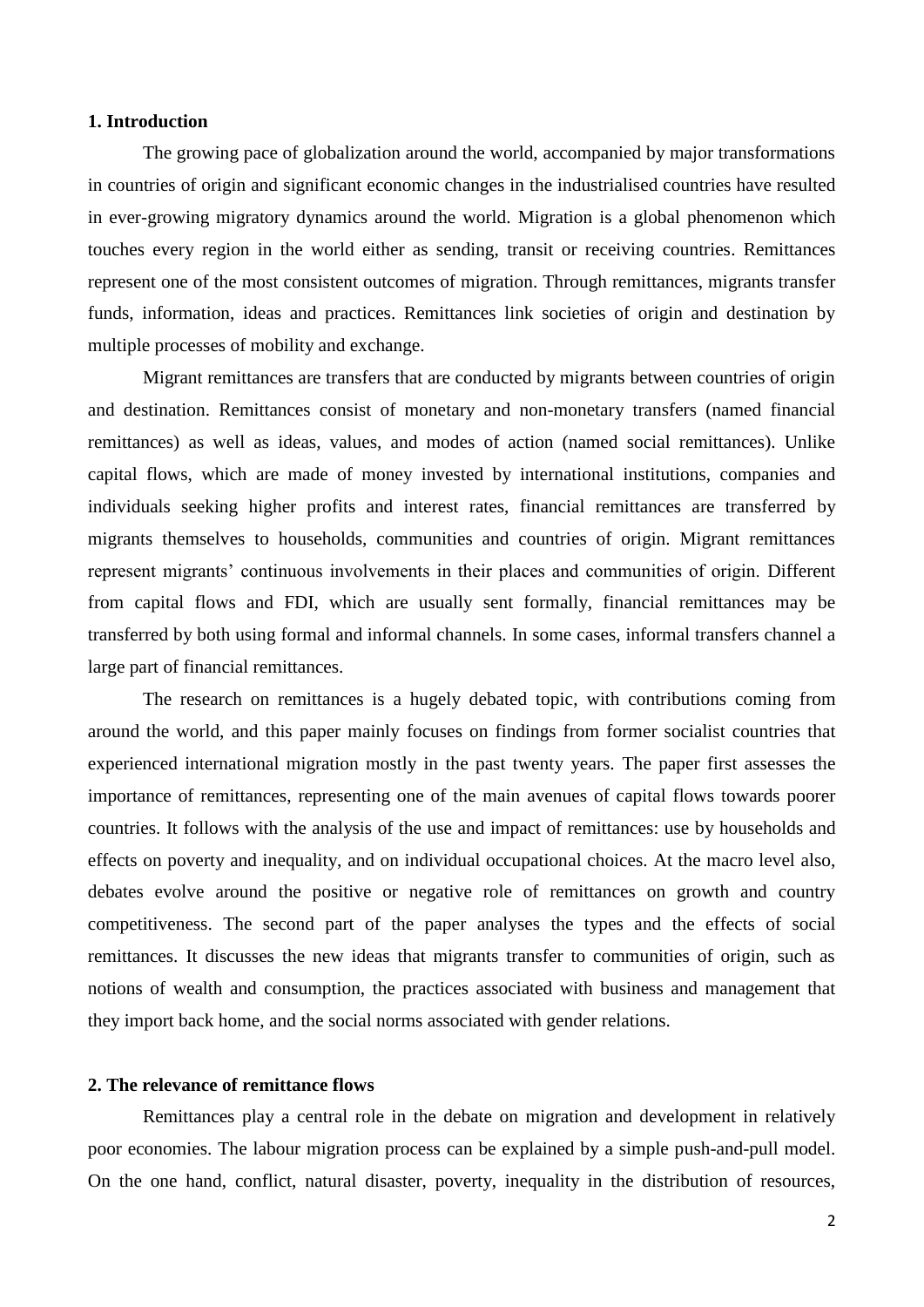#### **1. Introduction**

The growing pace of globalization around the world, accompanied by major transformations in countries of origin and significant economic changes in the industrialised countries have resulted in ever-growing migratory dynamics around the world. Migration is a global phenomenon which touches every region in the world either as sending, transit or receiving countries. Remittances represent one of the most consistent outcomes of migration. Through remittances, migrants transfer funds, information, ideas and practices. Remittances link societies of origin and destination by multiple processes of mobility and exchange.

Migrant remittances are transfers that are conducted by migrants between countries of origin and destination. Remittances consist of monetary and non-monetary transfers (named financial remittances) as well as ideas, values, and modes of action (named social remittances). Unlike capital flows, which are made of money invested by international institutions, companies and individuals seeking higher profits and interest rates, financial remittances are transferred by migrants themselves to households, communities and countries of origin. Migrant remittances represent migrants' continuous involvements in their places and communities of origin. Different from capital flows and FDI, which are usually sent formally, financial remittances may be transferred by both using formal and informal channels. In some cases, informal transfers channel a large part of financial remittances.

The research on remittances is a hugely debated topic, with contributions coming from around the world, and this paper mainly focuses on findings from former socialist countries that experienced international migration mostly in the past twenty years. The paper first assesses the importance of remittances, representing one of the main avenues of capital flows towards poorer countries. It follows with the analysis of the use and impact of remittances: use by households and effects on poverty and inequality, and on individual occupational choices. At the macro level also, debates evolve around the positive or negative role of remittances on growth and country competitiveness. The second part of the paper analyses the types and the effects of social remittances. It discusses the new ideas that migrants transfer to communities of origin, such as notions of wealth and consumption, the practices associated with business and management that they import back home, and the social norms associated with gender relations.

#### **2. The relevance of remittance flows**

Remittances play a central role in the debate on migration and development in relatively poor economies. The labour migration process can be explained by a simple push-and-pull model. On the one hand, conflict, natural disaster, poverty, inequality in the distribution of resources,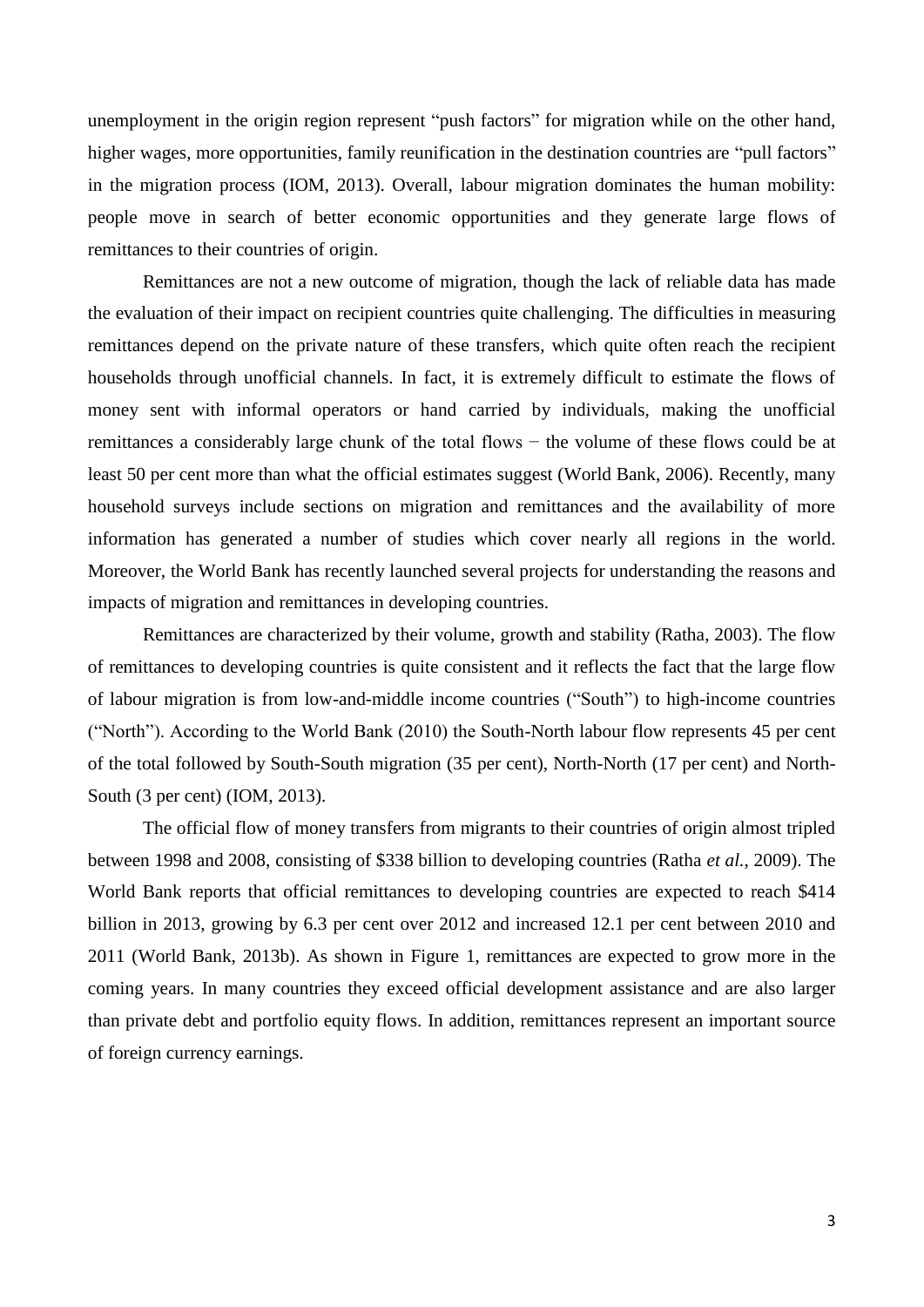unemployment in the origin region represent "push factors" for migration while on the other hand, higher wages, more opportunities, family reunification in the destination countries are "pull factors" in the migration process (IOM, 2013). Overall, labour migration dominates the human mobility: people move in search of better economic opportunities and they generate large flows of remittances to their countries of origin.

Remittances are not a new outcome of migration, though the lack of reliable data has made the evaluation of their impact on recipient countries quite challenging. The difficulties in measuring remittances depend on the private nature of these transfers, which quite often reach the recipient households through unofficial channels. In fact, it is extremely difficult to estimate the flows of money sent with informal operators or hand carried by individuals, making the unofficial remittances a considerably large chunk of the total flows − the volume of these flows could be at least 50 per cent more than what the official estimates suggest (World Bank, 2006). Recently, many household surveys include sections on migration and remittances and the availability of more information has generated a number of studies which cover nearly all regions in the world. Moreover, the World Bank has recently launched several projects for understanding the reasons and impacts of migration and remittances in developing countries.

Remittances are characterized by their volume, growth and stability (Ratha, 2003). The flow of remittances to developing countries is quite consistent and it reflects the fact that the large flow of labour migration is from low-and-middle income countries ("South") to high-income countries ("North"). According to the World Bank (2010) the South-North labour flow represents 45 per cent of the total followed by South-South migration (35 per cent), North-North (17 per cent) and North-South (3 per cent) (IOM, 2013).

The official flow of money transfers from migrants to their countries of origin almost tripled between 1998 and 2008, consisting of \$338 billion to developing countries (Ratha *et al.,* 2009). The World Bank reports that official remittances to developing countries are expected to reach \$414 billion in 2013, growing by 6.3 per cent over 2012 and increased 12.1 per cent between 2010 and 2011 (World Bank, 2013b). As shown in Figure 1, remittances are expected to grow more in the coming years. In many countries they exceed official development assistance and are also larger than private debt and portfolio equity flows. In addition, remittances represent an important source of foreign currency earnings.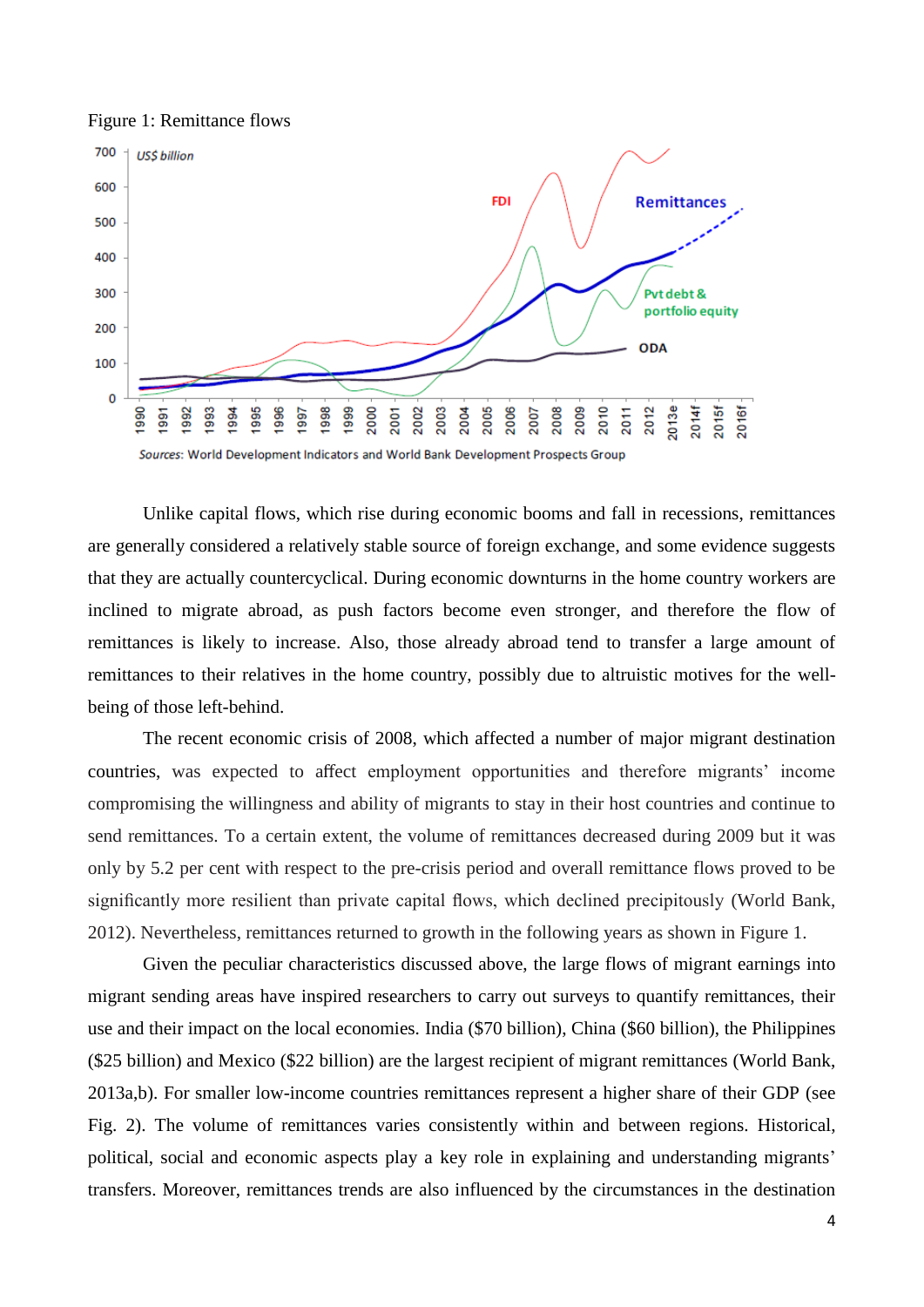



Unlike capital flows, which rise during economic booms and fall in recessions, remittances are generally considered a relatively stable source of foreign exchange, and some evidence suggests that they are actually countercyclical. During economic downturns in the home country workers are inclined to migrate abroad, as push factors become even stronger, and therefore the flow of remittances is likely to increase. Also, those already abroad tend to transfer a large amount of remittances to their relatives in the home country, possibly due to altruistic motives for the wellbeing of those left-behind.

The recent economic crisis of 2008, which affected a number of major migrant destination countries, was expected to affect employment opportunities and therefore migrants' income compromising the willingness and ability of migrants to stay in their host countries and continue to send remittances. To a certain extent, the volume of remittances decreased during 2009 but it was only by 5.2 per cent with respect to the pre-crisis period and overall remittance flows proved to be significantly more resilient than private capital flows, which declined precipitously (World Bank, 2012). Nevertheless, remittances returned to growth in the following years as shown in Figure 1.

Given the peculiar characteristics discussed above, the large flows of migrant earnings into migrant sending areas have inspired researchers to carry out surveys to quantify remittances, their use and their impact on the local economies. India (\$70 billion), China (\$60 billion), the Philippines (\$25 billion) and Mexico (\$22 billion) are the largest recipient of migrant remittances (World Bank, 2013a,b). For smaller low-income countries remittances represent a higher share of their GDP (see Fig. 2). The volume of remittances varies consistently within and between regions. Historical, political, social and economic aspects play a key role in explaining and understanding migrants' transfers. Moreover, remittances trends are also influenced by the circumstances in the destination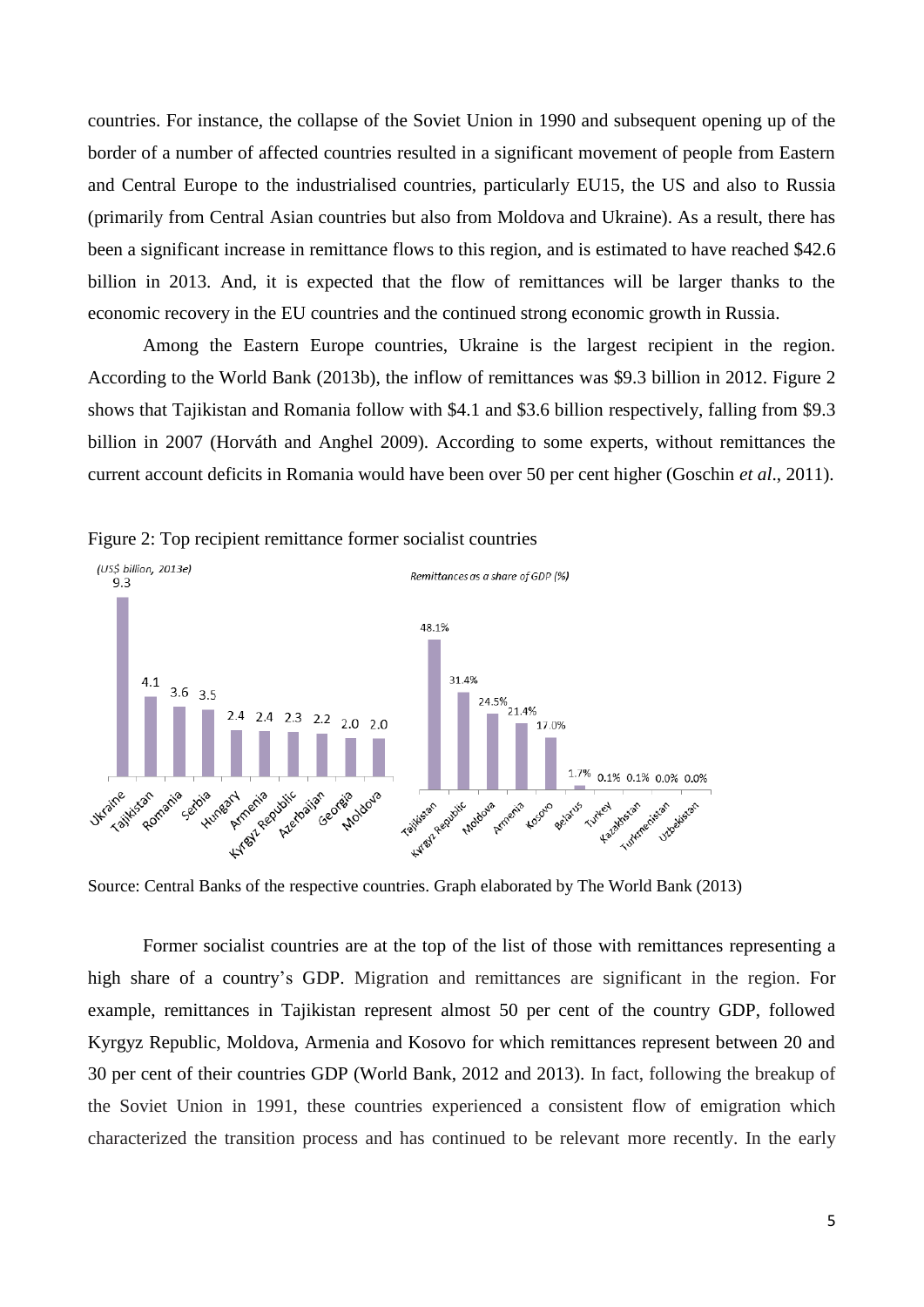countries. For instance, the collapse of the Soviet Union in 1990 and subsequent opening up of the border of a number of affected countries resulted in a significant movement of people from Eastern and Central Europe to the industrialised countries, particularly EU15, the US and also to Russia (primarily from Central Asian countries but also from Moldova and Ukraine). As a result, there has been a significant increase in remittance flows to this region, and is estimated to have reached \$42.6 billion in 2013. And, it is expected that the flow of remittances will be larger thanks to the economic recovery in the EU countries and the continued strong economic growth in Russia.

Among the Eastern Europe countries, Ukraine is the largest recipient in the region. According to the World Bank (2013b), the inflow of remittances was \$9.3 billion in 2012. Figure 2 shows that Tajikistan and Romania follow with \$4.1 and \$3.6 billion respectively, falling from \$9.3 billion in 2007 (Horváth and Anghel 2009). According to some experts, without remittances the current account deficits in Romania would have been over 50 per cent higher (Goschin *et al*., 2011).



Figure 2: Top recipient remittance former socialist countries

Source: Central Banks of the respective countries. Graph elaborated by The World Bank (2013)

Former socialist countries are at the top of the list of those with remittances representing a high share of a country's GDP. Migration and remittances are significant in the region. For example, remittances in Tajikistan represent almost 50 per cent of the country GDP, followed Kyrgyz Republic, Moldova, Armenia and Kosovo for which remittances represent between 20 and 30 per cent of their countries GDP (World Bank, 2012 and 2013). In fact, following the breakup of the Soviet Union in 1991, these countries experienced a consistent flow of emigration which characterized the transition process and has continued to be relevant more recently. In the early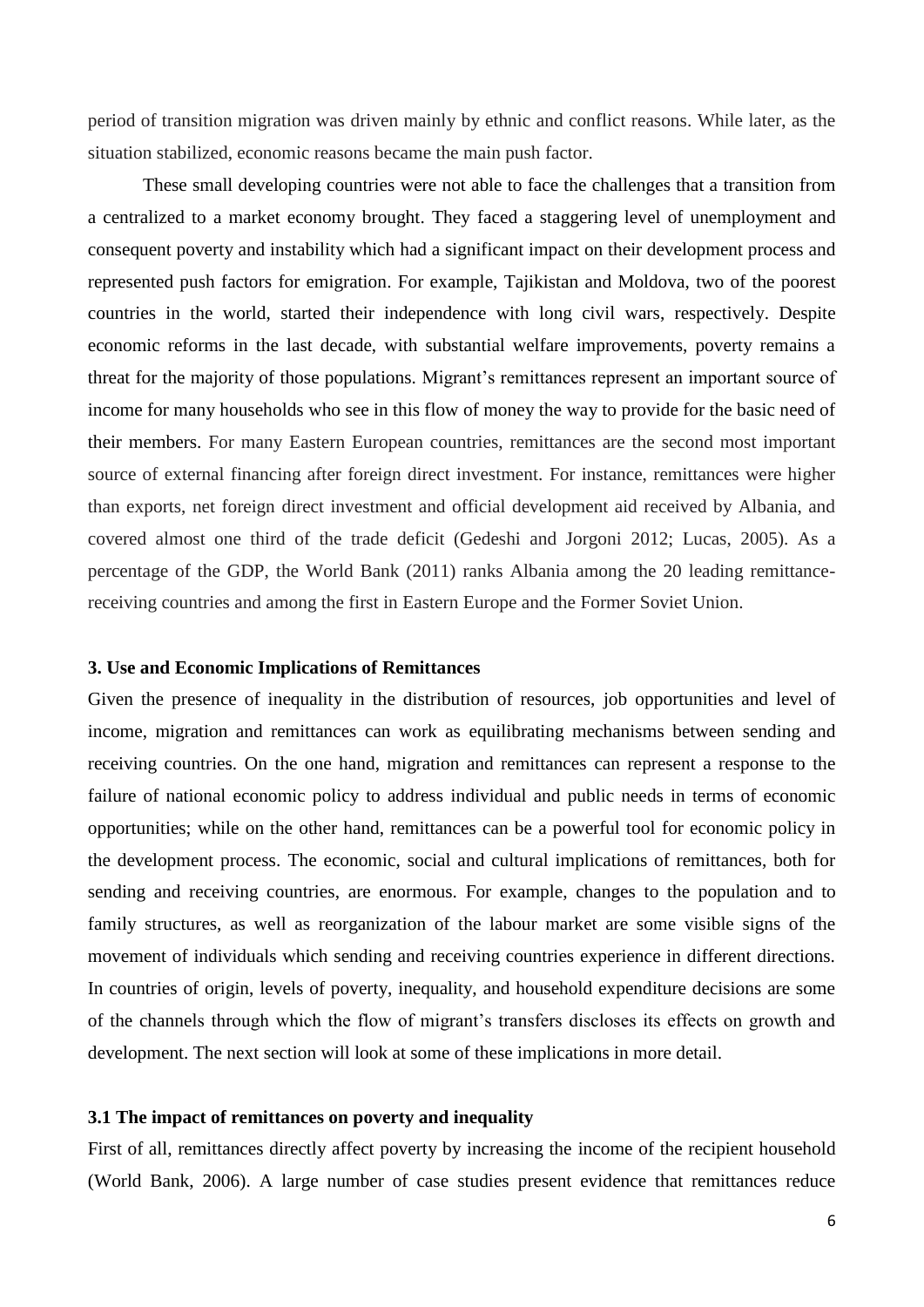period of transition migration was driven mainly by ethnic and conflict reasons. While later, as the situation stabilized, economic reasons became the main push factor.

These small developing countries were not able to face the challenges that a transition from a centralized to a market economy brought. They faced a staggering level of unemployment and consequent poverty and instability which had a significant impact on their development process and represented push factors for emigration. For example, Tajikistan and Moldova, two of the poorest countries in the world, started their independence with long civil wars, respectively. Despite economic reforms in the last decade, with substantial welfare improvements, poverty remains a threat for the majority of those populations. Migrant's remittances represent an important source of income for many households who see in this flow of money the way to provide for the basic need of their members. For many Eastern European countries, remittances are the second most important source of external financing after foreign direct investment. For instance, remittances were higher than exports, net foreign direct investment and official development aid received by Albania, and covered almost one third of the trade deficit (Gedeshi and Jorgoni 2012; Lucas, 2005). As a percentage of the GDP, the World Bank (2011) ranks Albania among the 20 leading remittancereceiving countries and among the first in Eastern Europe and the Former Soviet Union.

#### **3. Use and Economic Implications of Remittances**

Given the presence of inequality in the distribution of resources, job opportunities and level of income, migration and remittances can work as equilibrating mechanisms between sending and receiving countries. On the one hand, migration and remittances can represent a response to the failure of national economic policy to address individual and public needs in terms of economic opportunities; while on the other hand, remittances can be a powerful tool for economic policy in the development process. The economic, social and cultural implications of remittances, both for sending and receiving countries, are enormous. For example, changes to the population and to family structures, as well as reorganization of the labour market are some visible signs of the movement of individuals which sending and receiving countries experience in different directions. In countries of origin, levels of poverty, inequality, and household expenditure decisions are some of the channels through which the flow of migrant's transfers discloses its effects on growth and development. The next section will look at some of these implications in more detail.

#### **3.1 The impact of remittances on poverty and inequality**

First of all, remittances directly affect poverty by increasing the income of the recipient household (World Bank, 2006). A large number of case studies present evidence that remittances reduce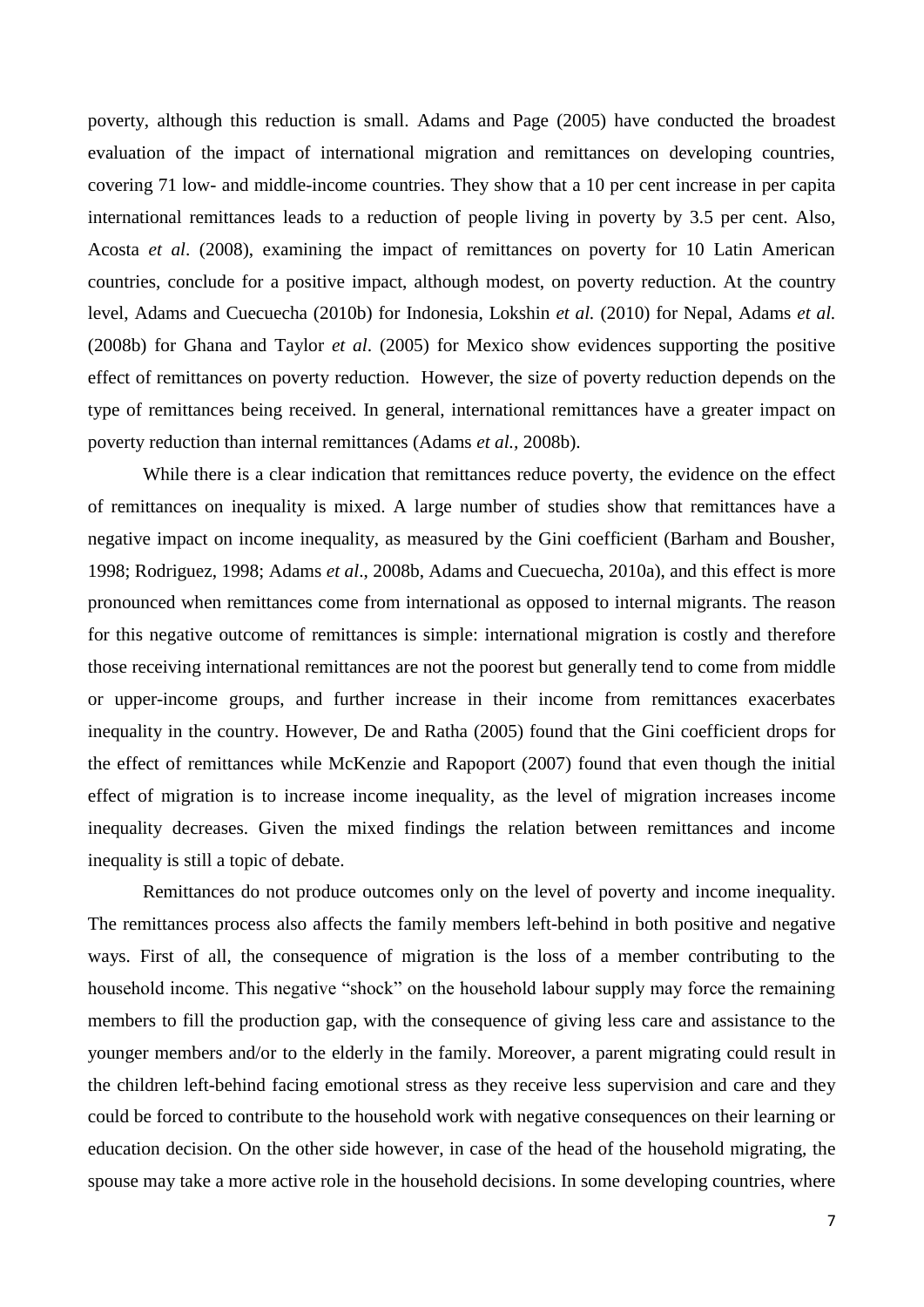poverty, although this reduction is small. Adams and Page (2005) have conducted the broadest evaluation of the impact of international migration and remittances on developing countries, covering 71 low- and middle-income countries. They show that a 10 per cent increase in per capita international remittances leads to a reduction of people living in poverty by 3.5 per cent. Also, Acosta *et al*. (2008), examining the impact of remittances on poverty for 10 Latin American countries, conclude for a positive impact, although modest, on poverty reduction. At the country level, Adams and Cuecuecha (2010b) for Indonesia, Lokshin *et al.* (2010) for Nepal, Adams *et al.* (2008b) for Ghana and Taylor *et al*. (2005) for Mexico show evidences supporting the positive effect of remittances on poverty reduction. However, the size of poverty reduction depends on the type of remittances being received. In general, international remittances have a greater impact on poverty reduction than internal remittances (Adams *et al.,* 2008b).

While there is a clear indication that remittances reduce poverty, the evidence on the effect of remittances on inequality is mixed. A large number of studies show that remittances have a negative impact on income inequality, as measured by the Gini coefficient (Barham and Bousher, 1998; Rodriguez, 1998; Adams *et al*., 2008b, Adams and Cuecuecha, 2010a), and this effect is more pronounced when remittances come from international as opposed to internal migrants. The reason for this negative outcome of remittances is simple: international migration is costly and therefore those receiving international remittances are not the poorest but generally tend to come from middle or upper-income groups, and further increase in their income from remittances exacerbates inequality in the country. However, De and Ratha (2005) found that the Gini coefficient drops for the effect of remittances while McKenzie and Rapoport (2007) found that even though the initial effect of migration is to increase income inequality, as the level of migration increases income inequality decreases. Given the mixed findings the relation between remittances and income inequality is still a topic of debate.

Remittances do not produce outcomes only on the level of poverty and income inequality. The remittances process also affects the family members left-behind in both positive and negative ways. First of all, the consequence of migration is the loss of a member contributing to the household income. This negative "shock" on the household labour supply may force the remaining members to fill the production gap, with the consequence of giving less care and assistance to the younger members and/or to the elderly in the family. Moreover, a parent migrating could result in the children left-behind facing emotional stress as they receive less supervision and care and they could be forced to contribute to the household work with negative consequences on their learning or education decision. On the other side however, in case of the head of the household migrating, the spouse may take a more active role in the household decisions. In some developing countries, where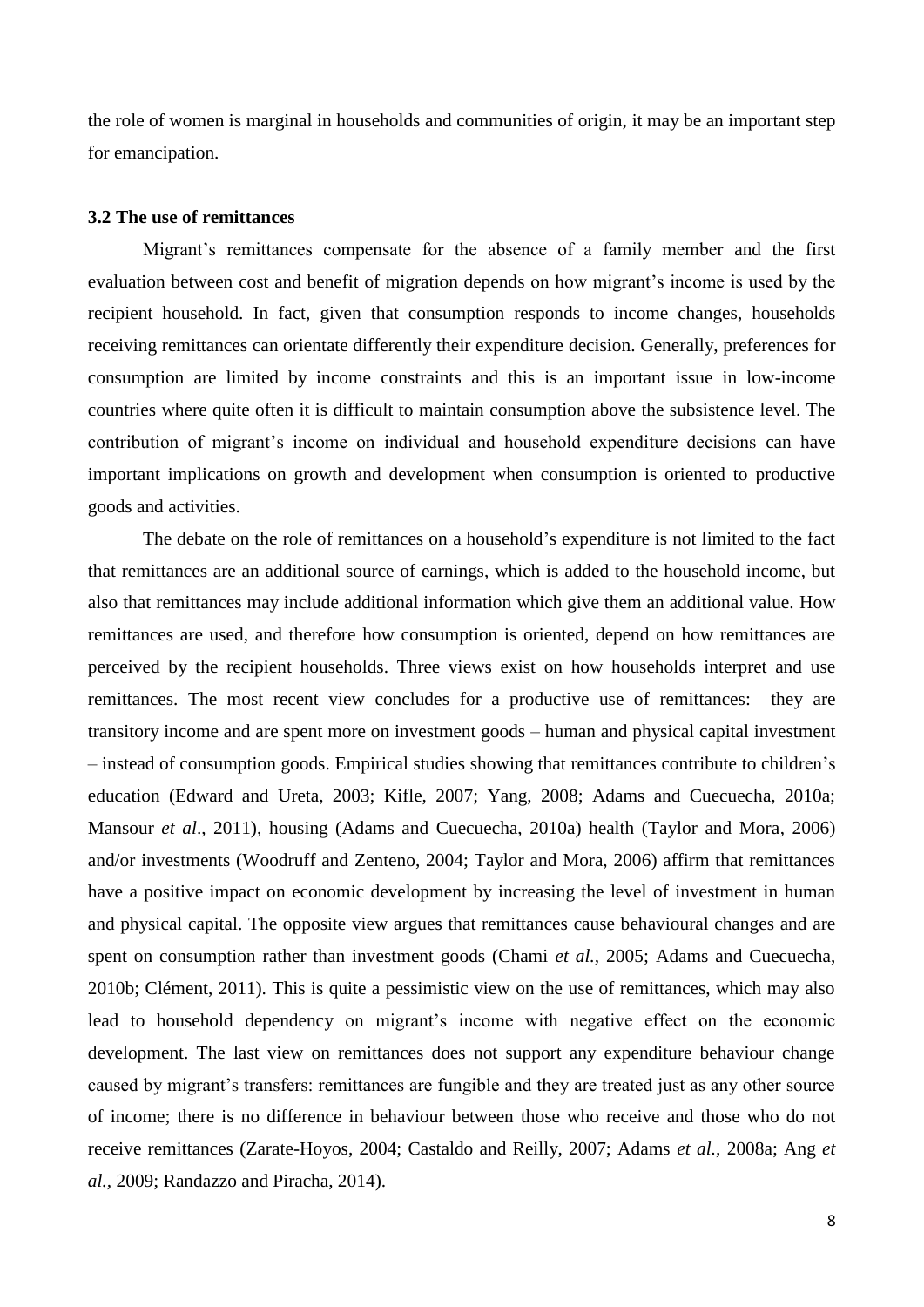the role of women is marginal in households and communities of origin, it may be an important step for emancipation.

#### **3.2 The use of remittances**

Migrant's remittances compensate for the absence of a family member and the first evaluation between cost and benefit of migration depends on how migrant's income is used by the recipient household. In fact, given that consumption responds to income changes, households receiving remittances can orientate differently their expenditure decision. Generally, preferences for consumption are limited by income constraints and this is an important issue in low-income countries where quite often it is difficult to maintain consumption above the subsistence level. The contribution of migrant's income on individual and household expenditure decisions can have important implications on growth and development when consumption is oriented to productive goods and activities.

The debate on the role of remittances on a household's expenditure is not limited to the fact that remittances are an additional source of earnings, which is added to the household income, but also that remittances may include additional information which give them an additional value. How remittances are used, and therefore how consumption is oriented, depend on how remittances are perceived by the recipient households. Three views exist on how households interpret and use remittances. The most recent view concludes for a productive use of remittances: they are transitory income and are spent more on investment goods – human and physical capital investment – instead of consumption goods. Empirical studies showing that remittances contribute to children's education (Edward and Ureta, 2003; Kifle, 2007; Yang, 2008; Adams and Cuecuecha, 2010a; Mansour *et al*., 2011), housing (Adams and Cuecuecha, 2010a) health (Taylor and Mora, 2006) and/or investments (Woodruff and Zenteno, 2004; Taylor and Mora, 2006) affirm that remittances have a positive impact on economic development by increasing the level of investment in human and physical capital. The opposite view argues that remittances cause behavioural changes and are spent on consumption rather than investment goods (Chami *et al.,* 2005; Adams and Cuecuecha, 2010b; Clément, 2011). This is quite a pessimistic view on the use of remittances, which may also lead to household dependency on migrant's income with negative effect on the economic development. The last view on remittances does not support any expenditure behaviour change caused by migrant's transfers: remittances are fungible and they are treated just as any other source of income; there is no difference in behaviour between those who receive and those who do not receive remittances (Zarate-Hoyos, 2004; Castaldo and Reilly, 2007; Adams *et al.,* 2008a; Ang *et al.,* 2009; Randazzo and Piracha, 2014).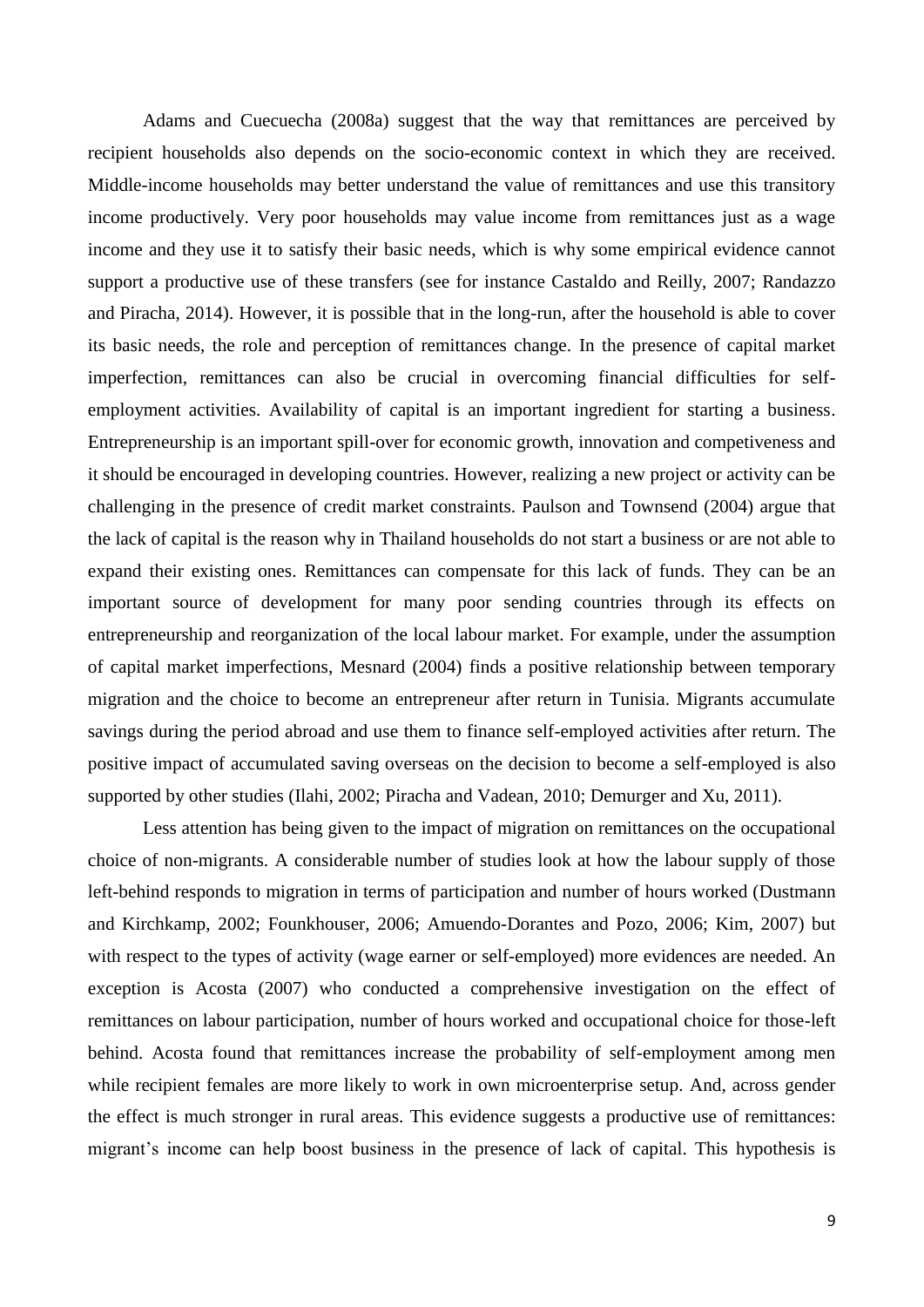Adams and Cuecuecha (2008a) suggest that the way that remittances are perceived by recipient households also depends on the socio-economic context in which they are received. Middle-income households may better understand the value of remittances and use this transitory income productively. Very poor households may value income from remittances just as a wage income and they use it to satisfy their basic needs, which is why some empirical evidence cannot support a productive use of these transfers (see for instance Castaldo and Reilly, 2007; Randazzo and Piracha, 2014). However, it is possible that in the long-run, after the household is able to cover its basic needs, the role and perception of remittances change. In the presence of capital market imperfection, remittances can also be crucial in overcoming financial difficulties for selfemployment activities. Availability of capital is an important ingredient for starting a business. Entrepreneurship is an important spill-over for economic growth, innovation and competiveness and it should be encouraged in developing countries. However, realizing a new project or activity can be challenging in the presence of credit market constraints. Paulson and Townsend (2004) argue that the lack of capital is the reason why in Thailand households do not start a business or are not able to expand their existing ones. Remittances can compensate for this lack of funds. They can be an important source of development for many poor sending countries through its effects on entrepreneurship and reorganization of the local labour market. For example, under the assumption of capital market imperfections, Mesnard (2004) finds a positive relationship between temporary migration and the choice to become an entrepreneur after return in Tunisia. Migrants accumulate savings during the period abroad and use them to finance self-employed activities after return. The positive impact of accumulated saving overseas on the decision to become a self-employed is also supported by other studies (Ilahi, 2002; Piracha and Vadean, 2010; Demurger and Xu, 2011).

Less attention has being given to the impact of migration on remittances on the occupational choice of non-migrants. A considerable number of studies look at how the labour supply of those left-behind responds to migration in terms of participation and number of hours worked (Dustmann and Kirchkamp, 2002; Founkhouser, 2006; Amuendo-Dorantes and Pozo, 2006; Kim, 2007) but with respect to the types of activity (wage earner or self-employed) more evidences are needed. An exception is Acosta (2007) who conducted a comprehensive investigation on the effect of remittances on labour participation, number of hours worked and occupational choice for those-left behind. Acosta found that remittances increase the probability of self-employment among men while recipient females are more likely to work in own microenterprise setup. And, across gender the effect is much stronger in rural areas. This evidence suggests a productive use of remittances: migrant's income can help boost business in the presence of lack of capital. This hypothesis is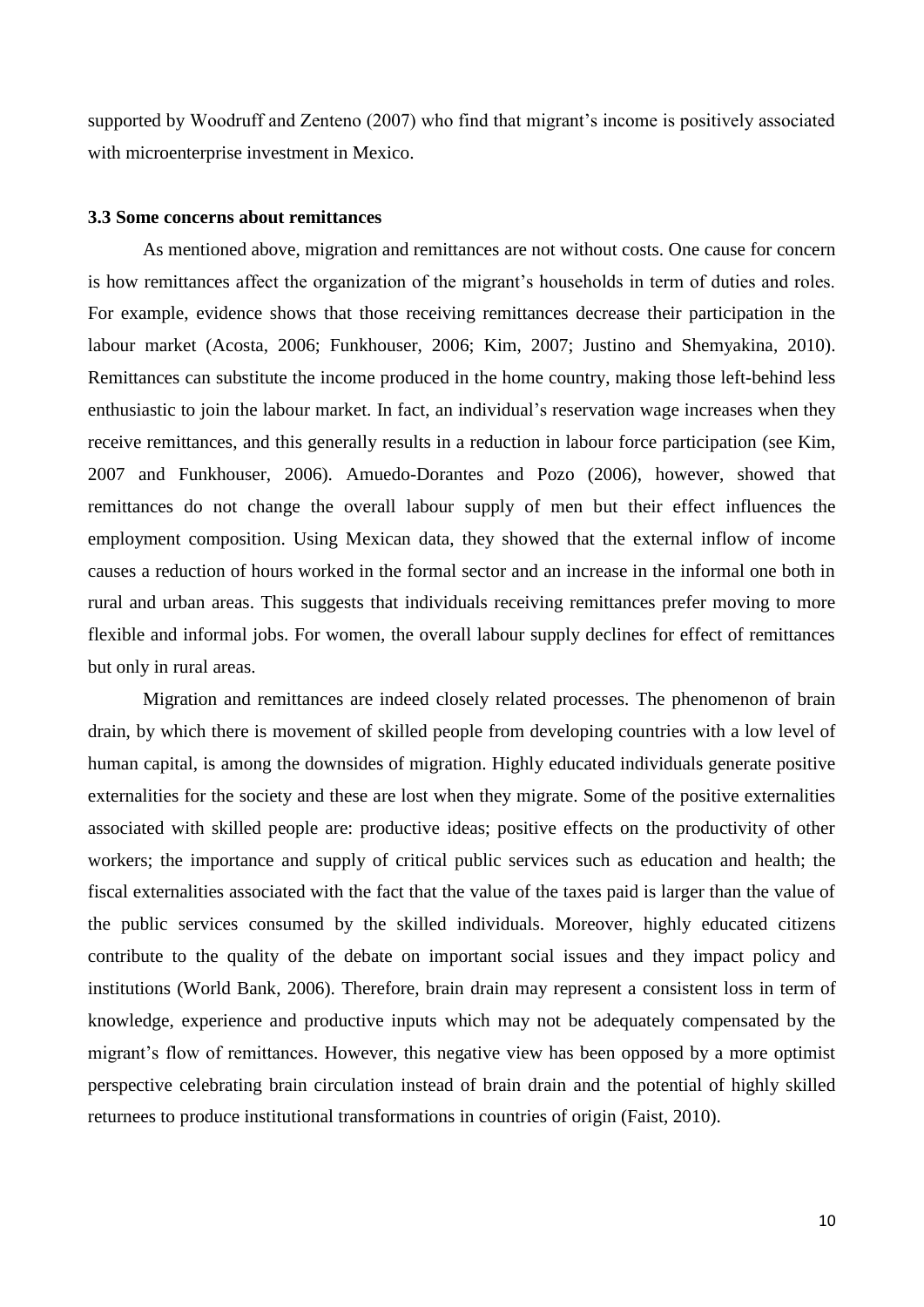supported by Woodruff and Zenteno (2007) who find that migrant's income is positively associated with microenterprise investment in Mexico.

#### **3.3 Some concerns about remittances**

As mentioned above, migration and remittances are not without costs. One cause for concern is how remittances affect the organization of the migrant's households in term of duties and roles. For example, evidence shows that those receiving remittances decrease their participation in the labour market (Acosta, 2006; Funkhouser, 2006; Kim, 2007; Justino and Shemyakina, 2010). Remittances can substitute the income produced in the home country, making those left-behind less enthusiastic to join the labour market. In fact, an individual's reservation wage increases when they receive remittances, and this generally results in a reduction in labour force participation (see Kim, 2007 and Funkhouser, 2006). Amuedo-Dorantes and Pozo (2006), however, showed that remittances do not change the overall labour supply of men but their effect influences the employment composition. Using Mexican data, they showed that the external inflow of income causes a reduction of hours worked in the formal sector and an increase in the informal one both in rural and urban areas. This suggests that individuals receiving remittances prefer moving to more flexible and informal jobs. For women, the overall labour supply declines for effect of remittances but only in rural areas.

Migration and remittances are indeed closely related processes. The phenomenon of brain drain, by which there is movement of skilled people from developing countries with a low level of human capital, is among the downsides of migration. Highly educated individuals generate positive externalities for the society and these are lost when they migrate. Some of the positive externalities associated with skilled people are: productive ideas; positive effects on the productivity of other workers; the importance and supply of critical public services such as education and health; the fiscal externalities associated with the fact that the value of the taxes paid is larger than the value of the public services consumed by the skilled individuals. Moreover, highly educated citizens contribute to the quality of the debate on important social issues and they impact policy and institutions (World Bank, 2006). Therefore, brain drain may represent a consistent loss in term of knowledge, experience and productive inputs which may not be adequately compensated by the migrant's flow of remittances. However, this negative view has been opposed by a more optimist perspective celebrating brain circulation instead of brain drain and the potential of highly skilled returnees to produce institutional transformations in countries of origin (Faist, 2010).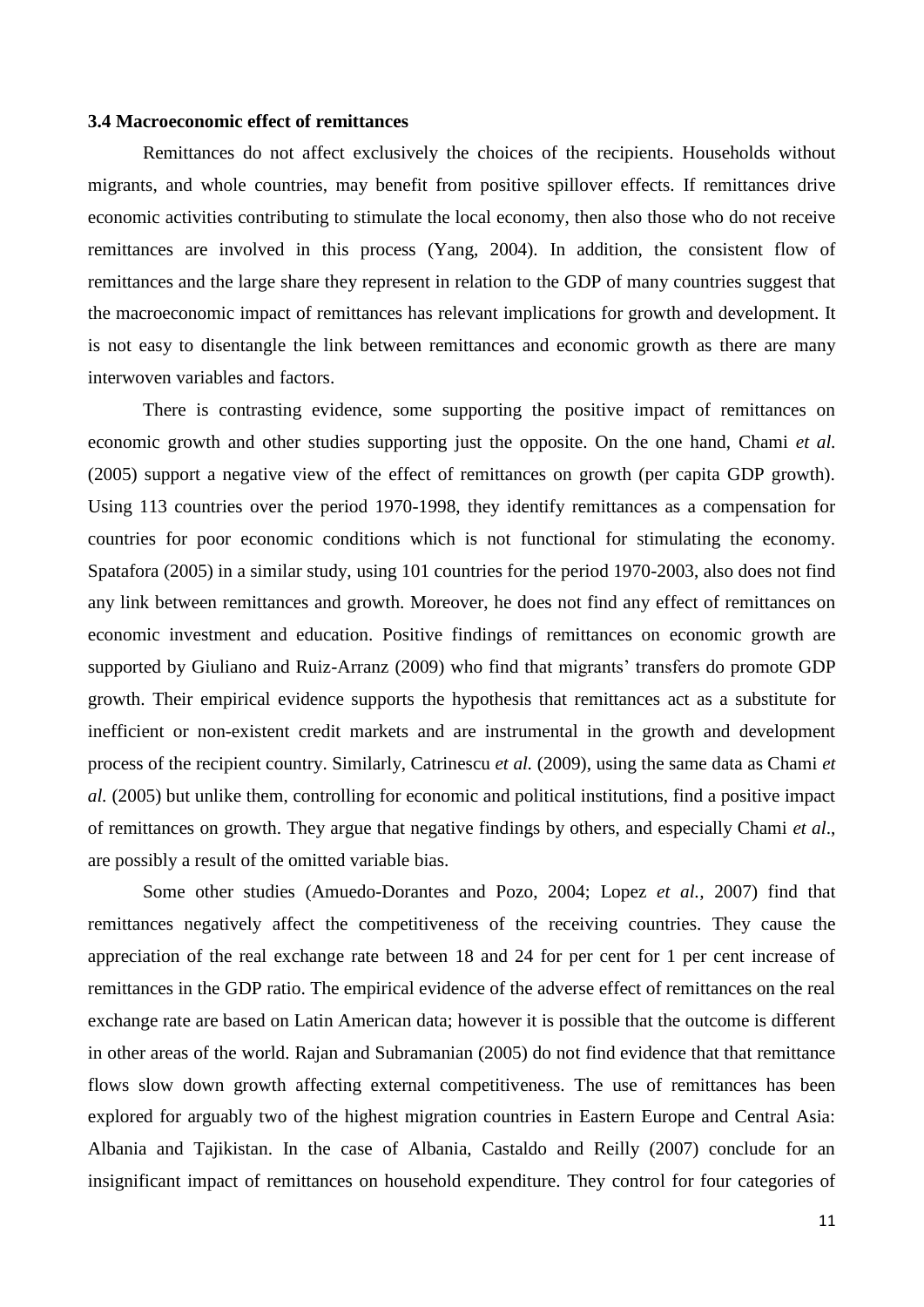#### **3.4 Macroeconomic effect of remittances**

Remittances do not affect exclusively the choices of the recipients. Households without migrants, and whole countries, may benefit from positive spillover effects. If remittances drive economic activities contributing to stimulate the local economy, then also those who do not receive remittances are involved in this process (Yang, 2004). In addition, the consistent flow of remittances and the large share they represent in relation to the GDP of many countries suggest that the macroeconomic impact of remittances has relevant implications for growth and development. It is not easy to disentangle the link between remittances and economic growth as there are many interwoven variables and factors.

There is contrasting evidence, some supporting the positive impact of remittances on economic growth and other studies supporting just the opposite. On the one hand, Chami *et al.* (2005) support a negative view of the effect of remittances on growth (per capita GDP growth). Using 113 countries over the period 1970-1998, they identify remittances as a compensation for countries for poor economic conditions which is not functional for stimulating the economy. Spatafora (2005) in a similar study, using 101 countries for the period 1970-2003, also does not find any link between remittances and growth. Moreover, he does not find any effect of remittances on economic investment and education. Positive findings of remittances on economic growth are supported by Giuliano and Ruiz-Arranz (2009) who find that migrants' transfers do promote GDP growth. Their empirical evidence supports the hypothesis that remittances act as a substitute for inefficient or non-existent credit markets and are instrumental in the growth and development process of the recipient country. Similarly, Catrinescu *et al.* (2009), using the same data as Chami *et al.* (2005) but unlike them, controlling for economic and political institutions, find a positive impact of remittances on growth. They argue that negative findings by others, and especially Chami *et al*., are possibly a result of the omitted variable bias.

Some other studies (Amuedo-Dorantes and Pozo, 2004; Lopez *et al.,* 2007) find that remittances negatively affect the competitiveness of the receiving countries. They cause the appreciation of the real exchange rate between 18 and 24 for per cent for 1 per cent increase of remittances in the GDP ratio. The empirical evidence of the adverse effect of remittances on the real exchange rate are based on Latin American data; however it is possible that the outcome is different in other areas of the world. Rajan and Subramanian (2005) do not find evidence that that remittance flows slow down growth affecting external competitiveness. The use of remittances has been explored for arguably two of the highest migration countries in Eastern Europe and Central Asia: Albania and Tajikistan. In the case of Albania, Castaldo and Reilly (2007) conclude for an insignificant impact of remittances on household expenditure. They control for four categories of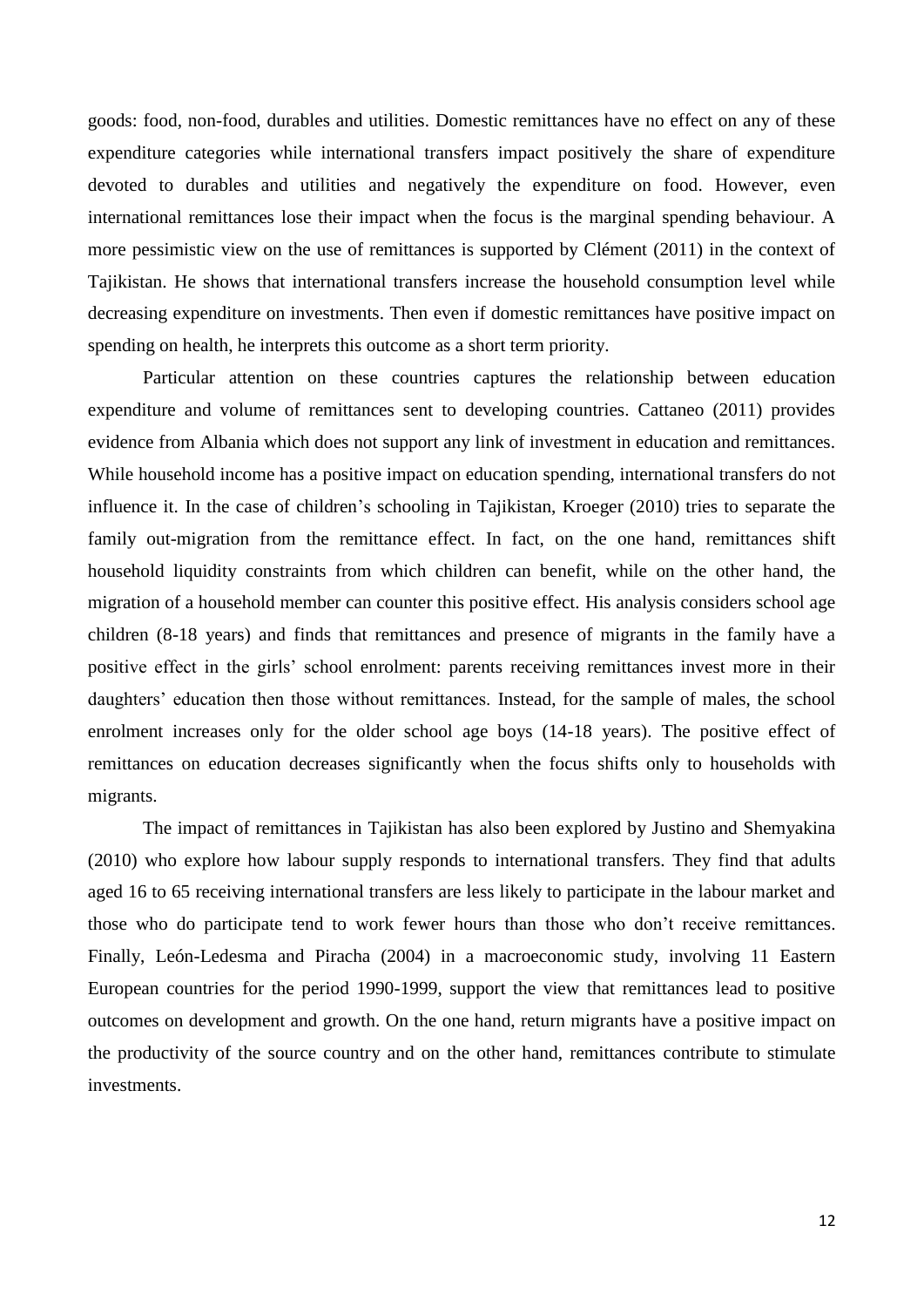goods: food, non-food, durables and utilities. Domestic remittances have no effect on any of these expenditure categories while international transfers impact positively the share of expenditure devoted to durables and utilities and negatively the expenditure on food. However, even international remittances lose their impact when the focus is the marginal spending behaviour. A more pessimistic view on the use of remittances is supported by Clément (2011) in the context of Tajikistan. He shows that international transfers increase the household consumption level while decreasing expenditure on investments. Then even if domestic remittances have positive impact on spending on health, he interprets this outcome as a short term priority.

Particular attention on these countries captures the relationship between education expenditure and volume of remittances sent to developing countries. Cattaneo (2011) provides evidence from Albania which does not support any link of investment in education and remittances. While household income has a positive impact on education spending, international transfers do not influence it. In the case of children's schooling in Tajikistan, Kroeger (2010) tries to separate the family out-migration from the remittance effect. In fact, on the one hand, remittances shift household liquidity constraints from which children can benefit, while on the other hand, the migration of a household member can counter this positive effect. His analysis considers school age children (8-18 years) and finds that remittances and presence of migrants in the family have a positive effect in the girls' school enrolment: parents receiving remittances invest more in their daughters' education then those without remittances. Instead, for the sample of males, the school enrolment increases only for the older school age boys (14-18 years). The positive effect of remittances on education decreases significantly when the focus shifts only to households with migrants.

The impact of remittances in Tajikistan has also been explored by Justino and Shemyakina (2010) who explore how labour supply responds to international transfers. They find that adults aged 16 to 65 receiving international transfers are less likely to participate in the labour market and those who do participate tend to work fewer hours than those who don't receive remittances. Finally, León-Ledesma and Piracha (2004) in a macroeconomic study, involving 11 Eastern European countries for the period 1990-1999, support the view that remittances lead to positive outcomes on development and growth. On the one hand, return migrants have a positive impact on the productivity of the source country and on the other hand, remittances contribute to stimulate investments.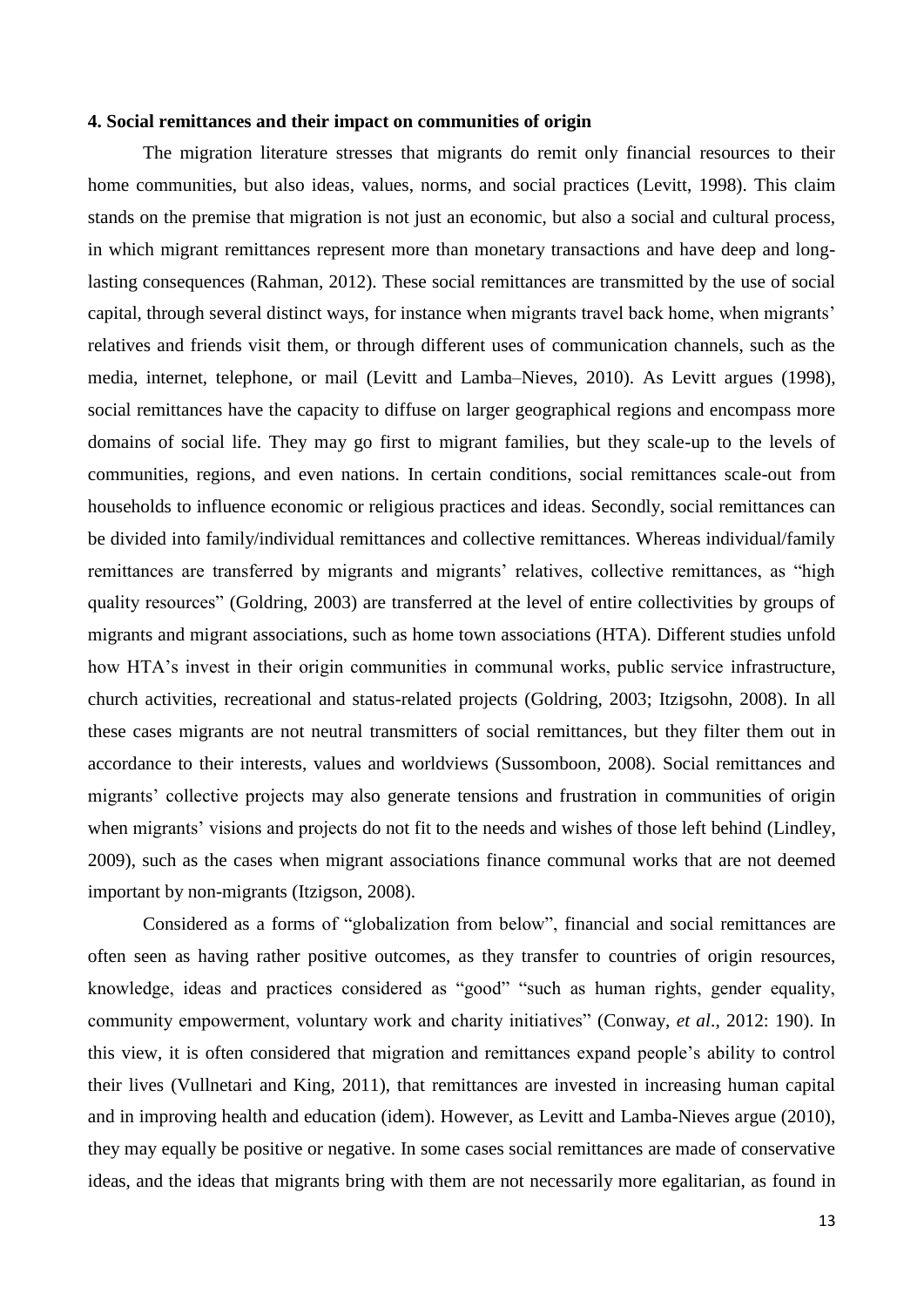#### **4. Social remittances and their impact on communities of origin**

The migration literature stresses that migrants do remit only financial resources to their home communities, but also ideas, values, norms, and social practices (Levitt, 1998). This claim stands on the premise that migration is not just an economic, but also a social and cultural process, in which migrant remittances represent more than monetary transactions and have deep and longlasting consequences (Rahman, 2012). These social remittances are transmitted by the use of social capital, through several distinct ways, for instance when migrants travel back home, when migrants' relatives and friends visit them, or through different uses of communication channels, such as the media, internet, telephone, or mail (Levitt and Lamba–Nieves, 2010). As Levitt argues (1998), social remittances have the capacity to diffuse on larger geographical regions and encompass more domains of social life. They may go first to migrant families, but they scale-up to the levels of communities, regions, and even nations. In certain conditions, social remittances scale-out from households to influence economic or religious practices and ideas. Secondly, social remittances can be divided into family/individual remittances and collective remittances. Whereas individual/family remittances are transferred by migrants and migrants' relatives, collective remittances, as "high quality resources" (Goldring, 2003) are transferred at the level of entire collectivities by groups of migrants and migrant associations, such as home town associations (HTA). Different studies unfold how HTA's invest in their origin communities in communal works, public service infrastructure, church activities, recreational and status-related projects (Goldring, 2003; Itzigsohn, 2008). In all these cases migrants are not neutral transmitters of social remittances, but they filter them out in accordance to their interests, values and worldviews (Sussomboon, 2008). Social remittances and migrants' collective projects may also generate tensions and frustration in communities of origin when migrants' visions and projects do not fit to the needs and wishes of those left behind (Lindley, 2009), such as the cases when migrant associations finance communal works that are not deemed important by non-migrants (Itzigson, 2008).

Considered as a forms of "globalization from below", financial and social remittances are often seen as having rather positive outcomes, as they transfer to countries of origin resources, knowledge, ideas and practices considered as "good" "such as human rights, gender equality, community empowerment, voluntary work and charity initiatives" (Conway, *et al*., 2012: 190). In this view, it is often considered that migration and remittances expand people's ability to control their lives (Vullnetari and King, 2011), that remittances are invested in increasing human capital and in improving health and education (idem). However, as Levitt and Lamba-Nieves argue (2010), they may equally be positive or negative. In some cases social remittances are made of conservative ideas, and the ideas that migrants bring with them are not necessarily more egalitarian, as found in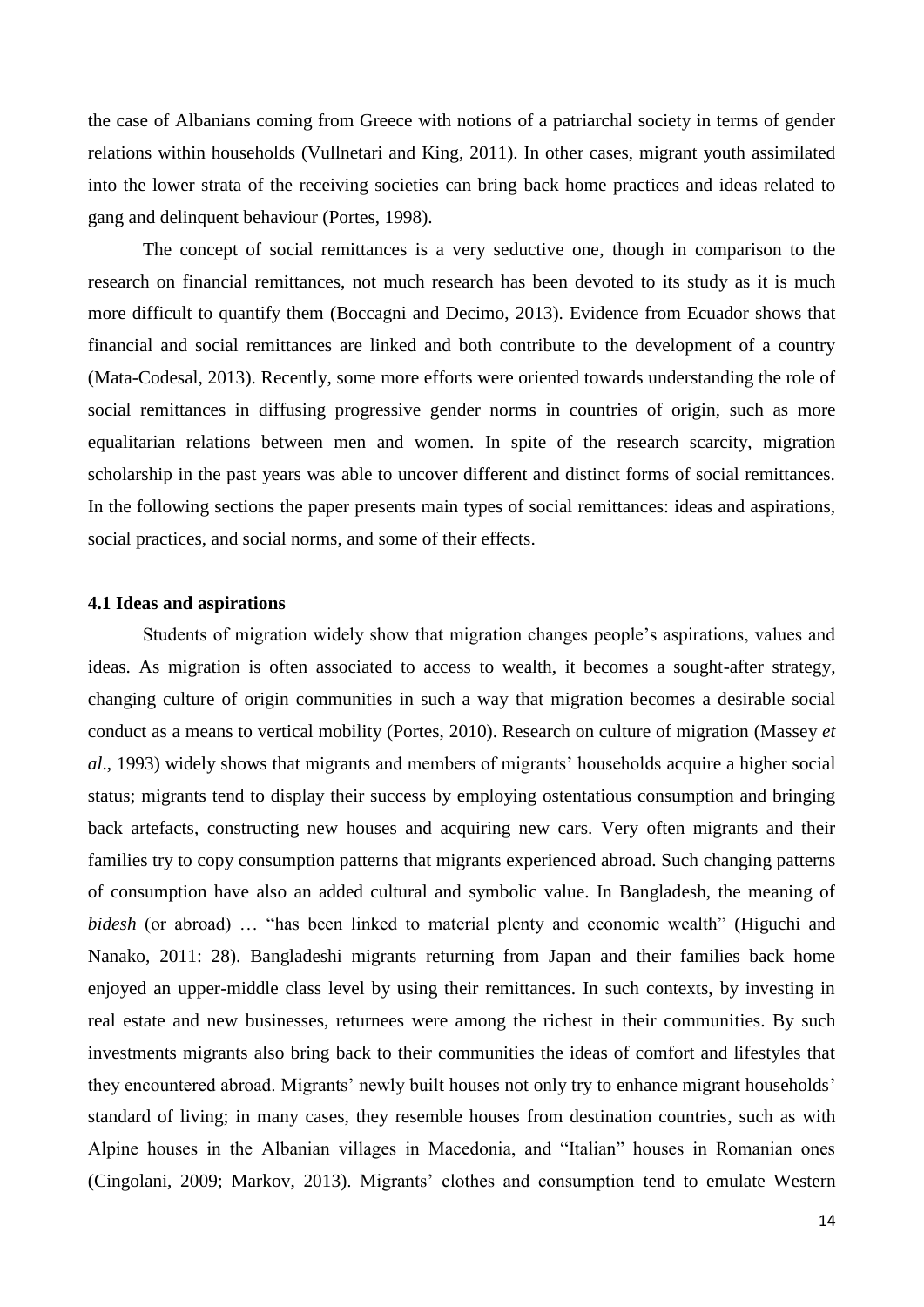the case of Albanians coming from Greece with notions of a patriarchal society in terms of gender relations within households (Vullnetari and King, 2011). In other cases, migrant youth assimilated into the lower strata of the receiving societies can bring back home practices and ideas related to gang and delinquent behaviour (Portes, 1998).

The concept of social remittances is a very seductive one, though in comparison to the research on financial remittances, not much research has been devoted to its study as it is much more difficult to quantify them (Boccagni and Decimo, 2013). Evidence from Ecuador shows that financial and social remittances are linked and both contribute to the development of a country (Mata-Codesal, 2013). Recently, some more efforts were oriented towards understanding the role of social remittances in diffusing progressive gender norms in countries of origin, such as more equalitarian relations between men and women. In spite of the research scarcity, migration scholarship in the past years was able to uncover different and distinct forms of social remittances. In the following sections the paper presents main types of social remittances: ideas and aspirations, social practices, and social norms, and some of their effects.

#### **4.1 Ideas and aspirations**

Students of migration widely show that migration changes people's aspirations, values and ideas. As migration is often associated to access to wealth, it becomes a sought-after strategy, changing culture of origin communities in such a way that migration becomes a desirable social conduct as a means to vertical mobility (Portes, 2010). Research on culture of migration (Massey *et al*., 1993) widely shows that migrants and members of migrants' households acquire a higher social status; migrants tend to display their success by employing ostentatious consumption and bringing back artefacts, constructing new houses and acquiring new cars. Very often migrants and their families try to copy consumption patterns that migrants experienced abroad. Such changing patterns of consumption have also an added cultural and symbolic value. In Bangladesh, the meaning of *bidesh* (or abroad) … "has been linked to material plenty and economic wealth" (Higuchi and Nanako, 2011: 28). Bangladeshi migrants returning from Japan and their families back home enjoyed an upper-middle class level by using their remittances. In such contexts, by investing in real estate and new businesses, returnees were among the richest in their communities. By such investments migrants also bring back to their communities the ideas of comfort and lifestyles that they encountered abroad. Migrants' newly built houses not only try to enhance migrant households' standard of living; in many cases, they resemble houses from destination countries, such as with Alpine houses in the Albanian villages in Macedonia, and "Italian" houses in Romanian ones (Cingolani, 2009; Markov, 2013). Migrants' clothes and consumption tend to emulate Western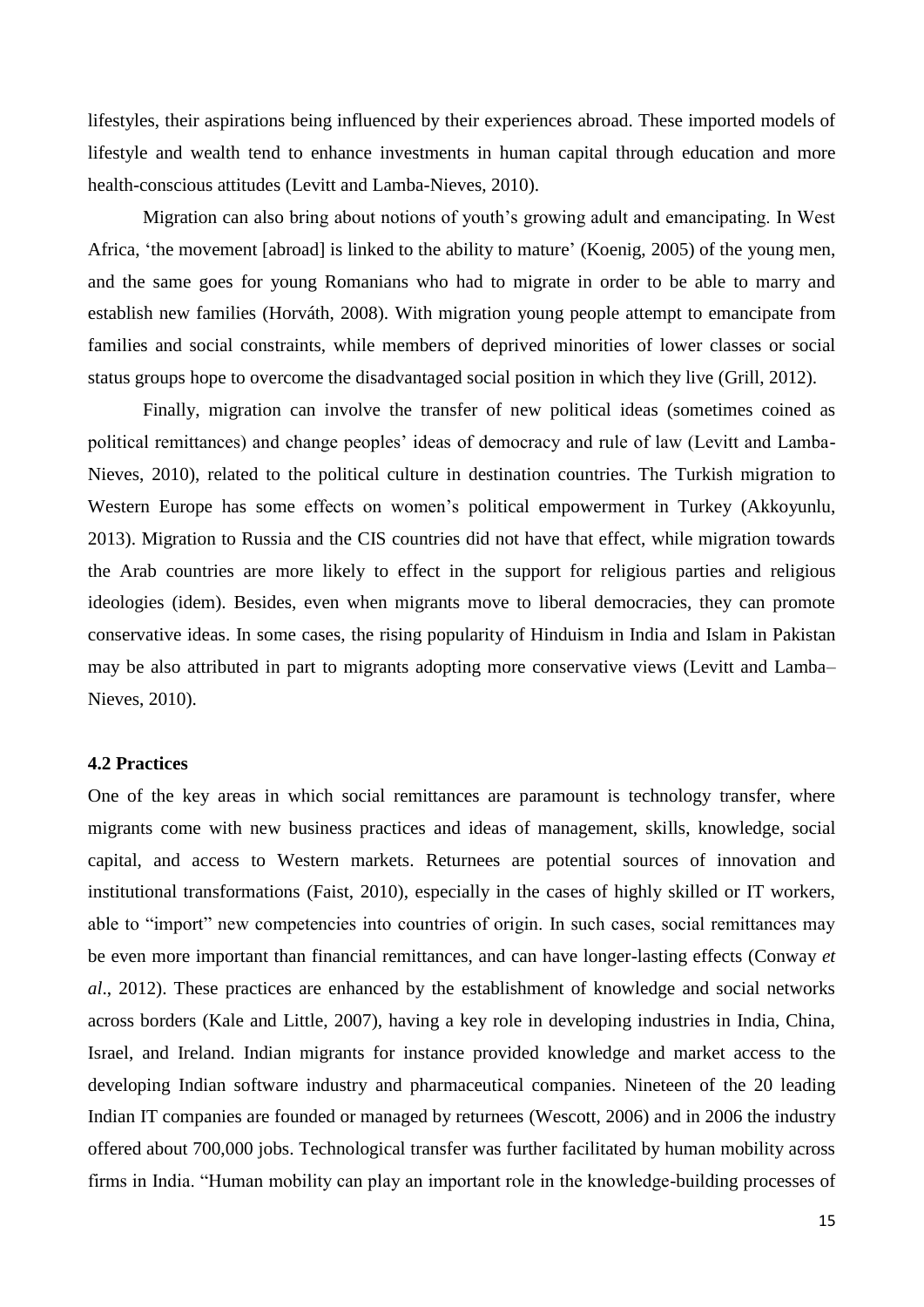lifestyles, their aspirations being influenced by their experiences abroad. These imported models of lifestyle and wealth tend to enhance investments in human capital through education and more health-conscious attitudes (Levitt and Lamba-Nieves, 2010).

Migration can also bring about notions of youth's growing adult and emancipating. In West Africa, 'the movement [abroad] is linked to the ability to mature' (Koenig, 2005) of the young men, and the same goes for young Romanians who had to migrate in order to be able to marry and establish new families (Horváth, 2008). With migration young people attempt to emancipate from families and social constraints, while members of deprived minorities of lower classes or social status groups hope to overcome the disadvantaged social position in which they live (Grill, 2012).

Finally, migration can involve the transfer of new political ideas (sometimes coined as political remittances) and change peoples' ideas of democracy and rule of law (Levitt and Lamba-Nieves, 2010), related to the political culture in destination countries. The Turkish migration to Western Europe has some effects on women's political empowerment in Turkey (Akkoyunlu, 2013). Migration to Russia and the CIS countries did not have that effect, while migration towards the Arab countries are more likely to effect in the support for religious parties and religious ideologies (idem). Besides, even when migrants move to liberal democracies, they can promote conservative ideas. In some cases, the rising popularity of Hinduism in India and Islam in Pakistan may be also attributed in part to migrants adopting more conservative views (Levitt and Lamba– Nieves, 2010).

#### **4.2 Practices**

One of the key areas in which social remittances are paramount is technology transfer, where migrants come with new business practices and ideas of management, skills, knowledge, social capital, and access to Western markets. Returnees are potential sources of innovation and institutional transformations (Faist, 2010), especially in the cases of highly skilled or IT workers, able to "import" new competencies into countries of origin. In such cases, social remittances may be even more important than financial remittances, and can have longer-lasting effects (Conway *et al*., 2012). These practices are enhanced by the establishment of knowledge and social networks across borders (Kale and Little, 2007), having a key role in developing industries in India, China, Israel, and Ireland. Indian migrants for instance provided knowledge and market access to the developing Indian software industry and pharmaceutical companies. Nineteen of the 20 leading Indian IT companies are founded or managed by returnees (Wescott, 2006) and in 2006 the industry offered about 700,000 jobs. Technological transfer was further facilitated by human mobility across firms in India. "Human mobility can play an important role in the knowledge-building processes of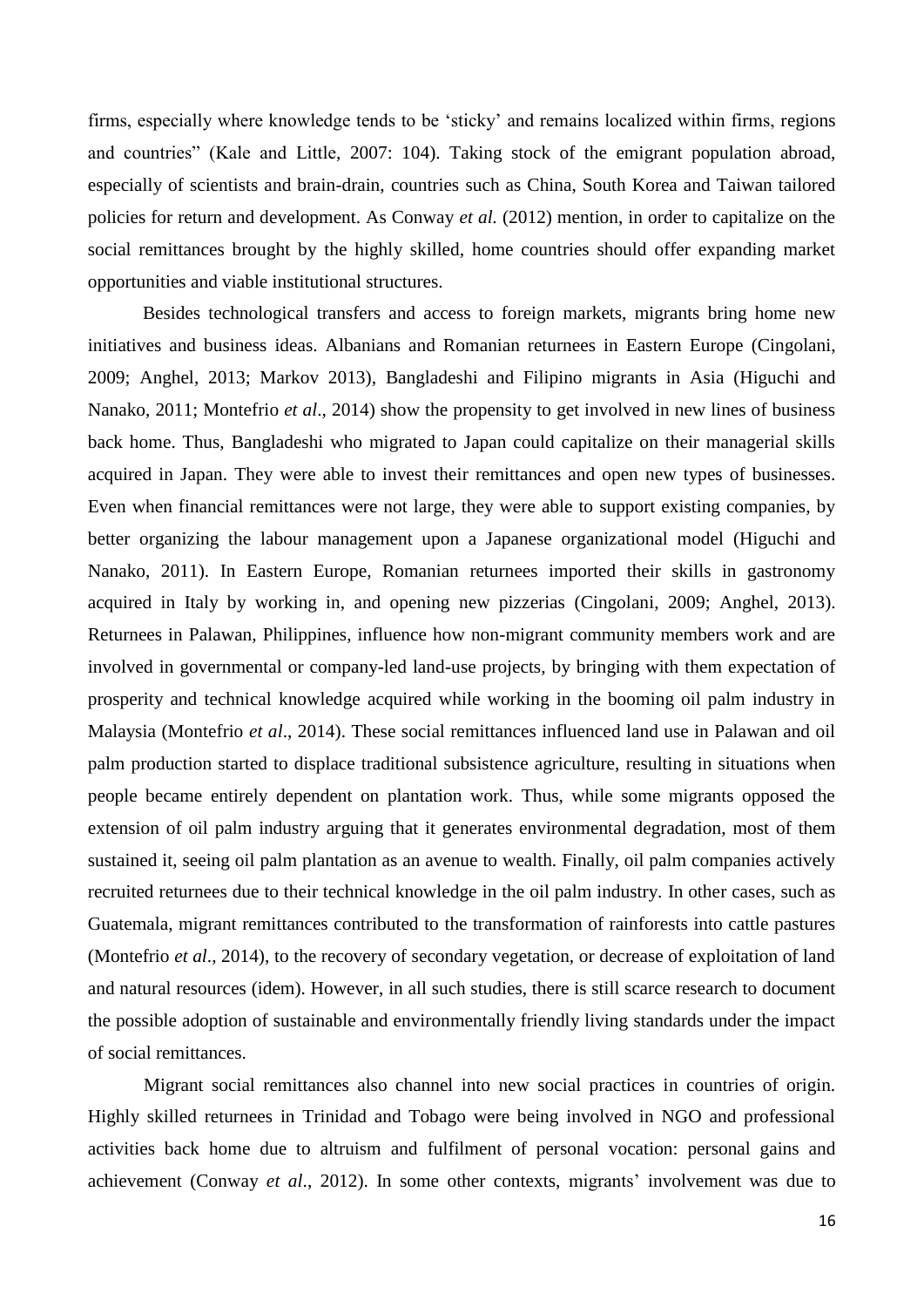firms, especially where knowledge tends to be 'sticky' and remains localized within firms, regions and countries" (Kale and Little, 2007: 104). Taking stock of the emigrant population abroad, especially of scientists and brain-drain, countries such as China, South Korea and Taiwan tailored policies for return and development. As Conway *et al.* (2012) mention, in order to capitalize on the social remittances brought by the highly skilled, home countries should offer expanding market opportunities and viable institutional structures.

Besides technological transfers and access to foreign markets, migrants bring home new initiatives and business ideas. Albanians and Romanian returnees in Eastern Europe (Cingolani, 2009; Anghel, 2013; Markov 2013), Bangladeshi and Filipino migrants in Asia (Higuchi and Nanako, 2011; Montefrio *et al*., 2014) show the propensity to get involved in new lines of business back home. Thus, Bangladeshi who migrated to Japan could capitalize on their managerial skills acquired in Japan. They were able to invest their remittances and open new types of businesses. Even when financial remittances were not large, they were able to support existing companies, by better organizing the labour management upon a Japanese organizational model (Higuchi and Nanako, 2011). In Eastern Europe, Romanian returnees imported their skills in gastronomy acquired in Italy by working in, and opening new pizzerias (Cingolani, 2009; Anghel, 2013). Returnees in Palawan, Philippines, influence how non-migrant community members work and are involved in governmental or company-led land-use projects, by bringing with them expectation of prosperity and technical knowledge acquired while working in the booming oil palm industry in Malaysia (Montefrio *et al*., 2014). These social remittances influenced land use in Palawan and oil palm production started to displace traditional subsistence agriculture, resulting in situations when people became entirely dependent on plantation work. Thus, while some migrants opposed the extension of oil palm industry arguing that it generates environmental degradation, most of them sustained it, seeing oil palm plantation as an avenue to wealth. Finally, oil palm companies actively recruited returnees due to their technical knowledge in the oil palm industry. In other cases, such as Guatemala, migrant remittances contributed to the transformation of rainforests into cattle pastures (Montefrio *et al*., 2014), to the recovery of secondary vegetation, or decrease of exploitation of land and natural resources (idem). However, in all such studies, there is still scarce research to document the possible adoption of sustainable and environmentally friendly living standards under the impact of social remittances.

Migrant social remittances also channel into new social practices in countries of origin. Highly skilled returnees in Trinidad and Tobago were being involved in NGO and professional activities back home due to altruism and fulfilment of personal vocation: personal gains and achievement (Conway *et al*., 2012). In some other contexts, migrants' involvement was due to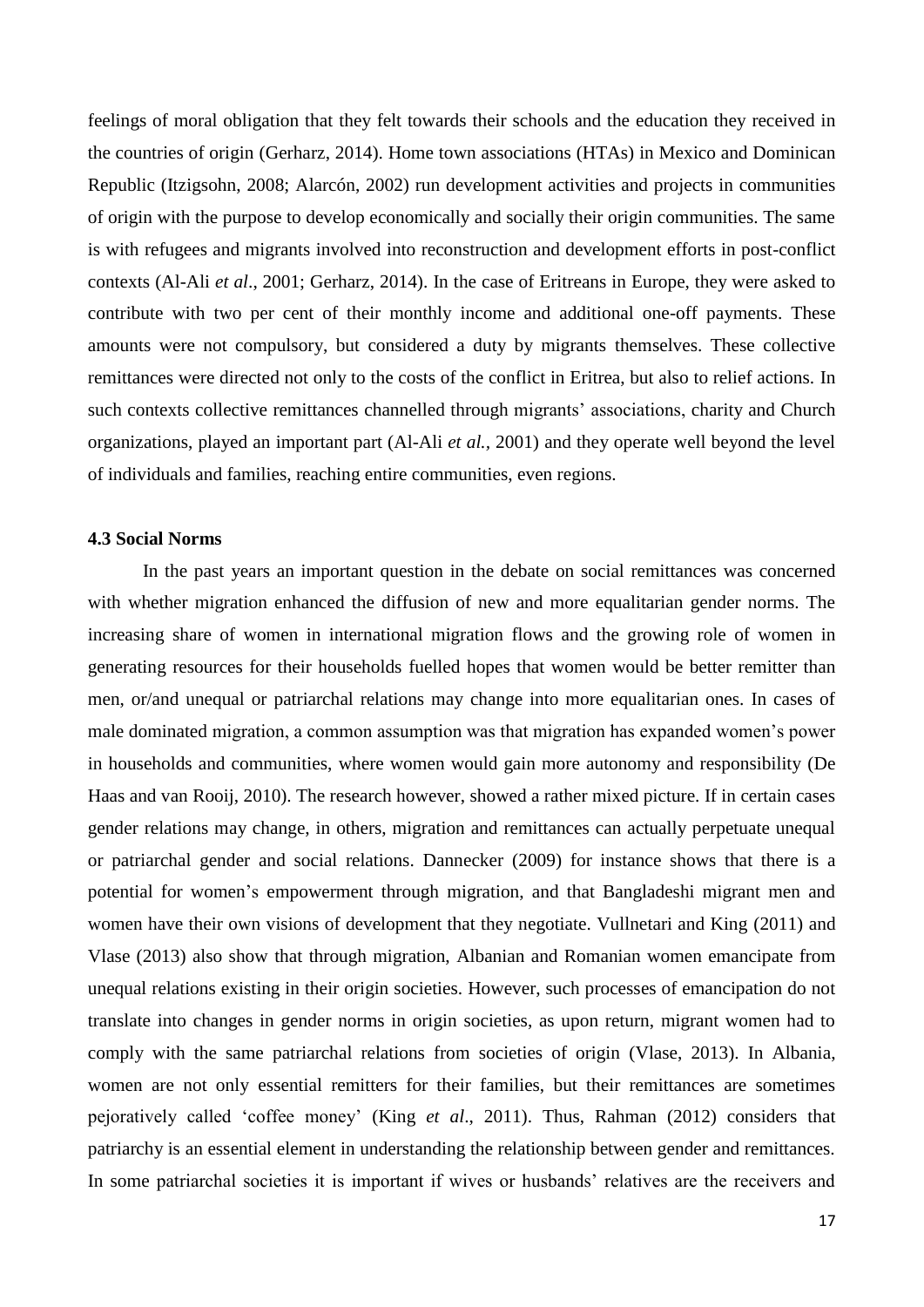feelings of moral obligation that they felt towards their schools and the education they received in the countries of origin (Gerharz, 2014). Home town associations (HTAs) in Mexico and Dominican Republic (Itzigsohn, 2008; Alarcón, 2002) run development activities and projects in communities of origin with the purpose to develop economically and socially their origin communities. The same is with refugees and migrants involved into reconstruction and development efforts in post-conflict contexts (Al-Ali *et al*., 2001; Gerharz, 2014). In the case of Eritreans in Europe, they were asked to contribute with two per cent of their monthly income and additional one-off payments. These amounts were not compulsory, but considered a duty by migrants themselves. These collective remittances were directed not only to the costs of the conflict in Eritrea, but also to relief actions. In such contexts collective remittances channelled through migrants' associations, charity and Church organizations, played an important part (Al-Ali *et al.,* 2001) and they operate well beyond the level of individuals and families, reaching entire communities, even regions.

#### **4.3 Social Norms**

In the past years an important question in the debate on social remittances was concerned with whether migration enhanced the diffusion of new and more equalitarian gender norms. The increasing share of women in international migration flows and the growing role of women in generating resources for their households fuelled hopes that women would be better remitter than men, or/and unequal or patriarchal relations may change into more equalitarian ones. In cases of male dominated migration, a common assumption was that migration has expanded women's power in households and communities, where women would gain more autonomy and responsibility (De Haas and van Rooij, 2010). The research however, showed a rather mixed picture. If in certain cases gender relations may change, in others, migration and remittances can actually perpetuate unequal or patriarchal gender and social relations. Dannecker (2009) for instance shows that there is a potential for women's empowerment through migration, and that Bangladeshi migrant men and women have their own visions of development that they negotiate. Vullnetari and King (2011) and Vlase (2013) also show that through migration, Albanian and Romanian women emancipate from unequal relations existing in their origin societies. However, such processes of emancipation do not translate into changes in gender norms in origin societies, as upon return, migrant women had to comply with the same patriarchal relations from societies of origin (Vlase, 2013). In Albania, women are not only essential remitters for their families, but their remittances are sometimes pejoratively called 'coffee money' (King *et al*., 2011). Thus, Rahman (2012) considers that patriarchy is an essential element in understanding the relationship between gender and remittances. In some patriarchal societies it is important if wives or husbands' relatives are the receivers and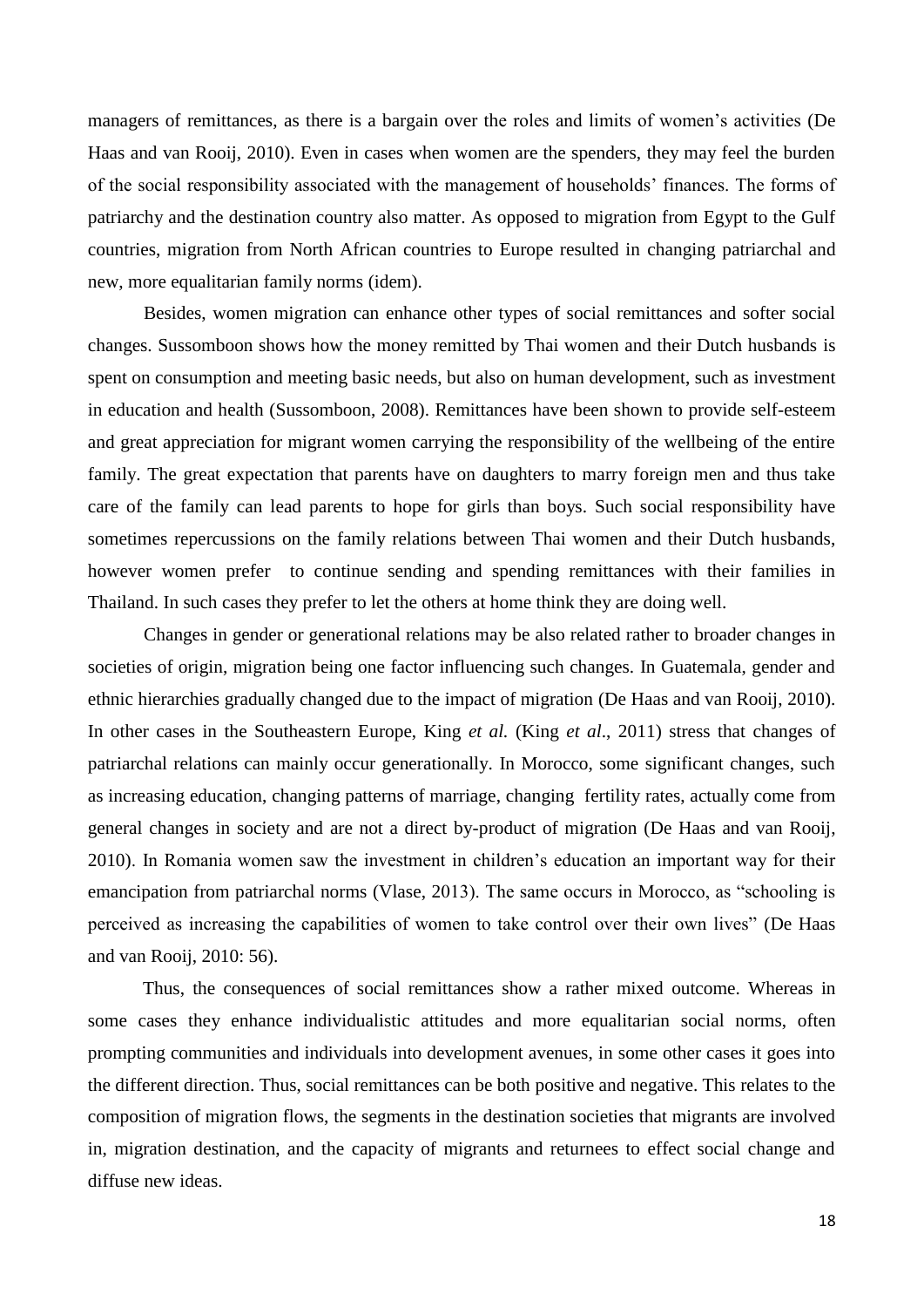managers of remittances, as there is a bargain over the roles and limits of women's activities (De Haas and van Rooij, 2010). Even in cases when women are the spenders, they may feel the burden of the social responsibility associated with the management of households' finances. The forms of patriarchy and the destination country also matter. As opposed to migration from Egypt to the Gulf countries, migration from North African countries to Europe resulted in changing patriarchal and new, more equalitarian family norms (idem).

Besides, women migration can enhance other types of social remittances and softer social changes. Sussomboon shows how the money remitted by Thai women and their Dutch husbands is spent on consumption and meeting basic needs, but also on human development, such as investment in education and health (Sussomboon, 2008). Remittances have been shown to provide self-esteem and great appreciation for migrant women carrying the responsibility of the wellbeing of the entire family. The great expectation that parents have on daughters to marry foreign men and thus take care of the family can lead parents to hope for girls than boys. Such social responsibility have sometimes repercussions on the family relations between Thai women and their Dutch husbands, however women prefer to continue sending and spending remittances with their families in Thailand. In such cases they prefer to let the others at home think they are doing well.

Changes in gender or generational relations may be also related rather to broader changes in societies of origin, migration being one factor influencing such changes. In Guatemala, gender and ethnic hierarchies gradually changed due to the impact of migration (De Haas and van Rooij, 2010). In other cases in the Southeastern Europe, King *et al.* (King *et al*., 2011) stress that changes of patriarchal relations can mainly occur generationally. In Morocco, some significant changes, such as increasing education, changing patterns of marriage, changing fertility rates, actually come from general changes in society and are not a direct by-product of migration (De Haas and van Rooij, 2010). In Romania women saw the investment in children's education an important way for their emancipation from patriarchal norms (Vlase, 2013). The same occurs in Morocco, as "schooling is perceived as increasing the capabilities of women to take control over their own lives" (De Haas and van Rooij, 2010: 56).

Thus, the consequences of social remittances show a rather mixed outcome. Whereas in some cases they enhance individualistic attitudes and more equalitarian social norms, often prompting communities and individuals into development avenues, in some other cases it goes into the different direction. Thus, social remittances can be both positive and negative. This relates to the composition of migration flows, the segments in the destination societies that migrants are involved in, migration destination, and the capacity of migrants and returnees to effect social change and diffuse new ideas.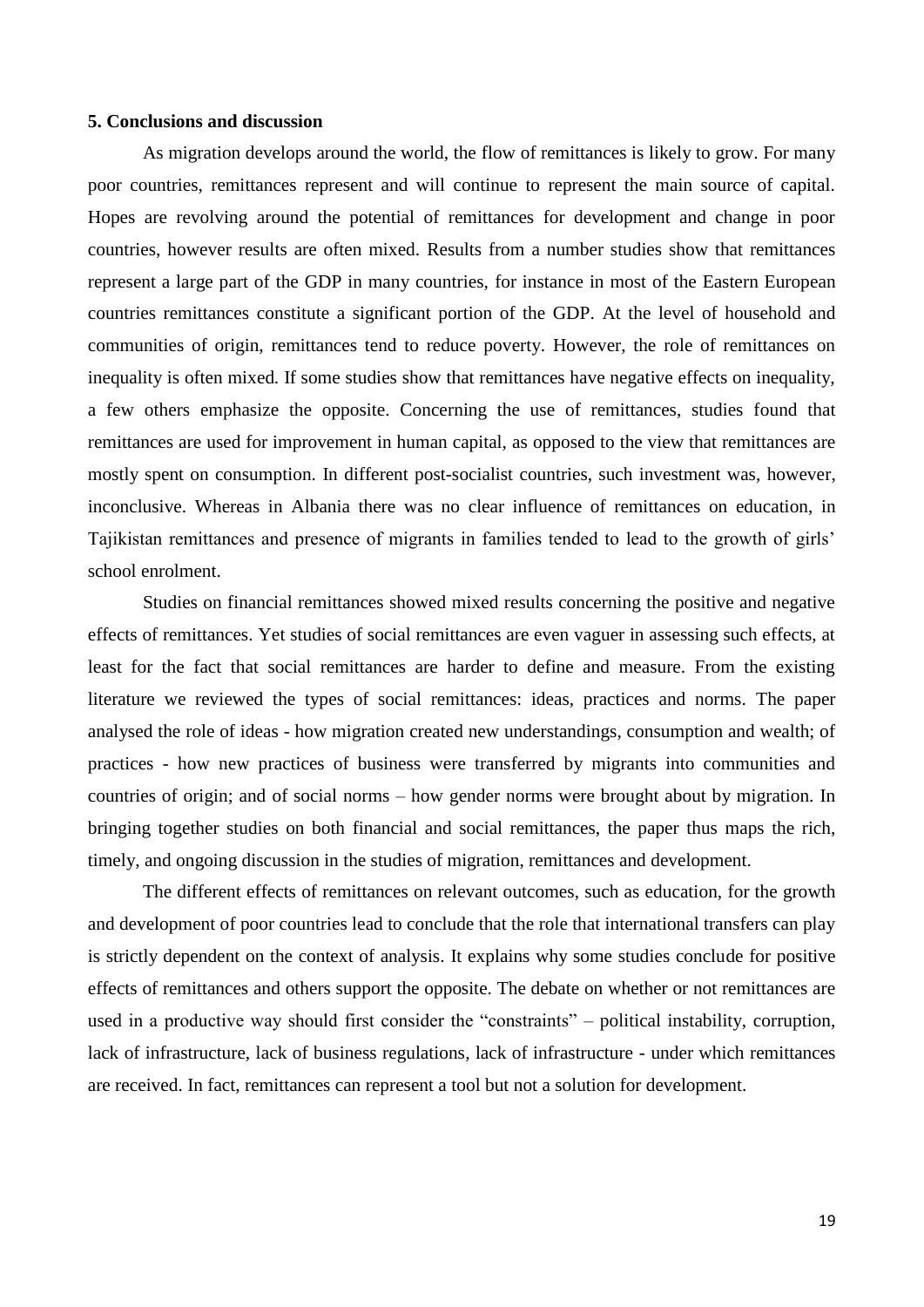#### **5. Conclusions and discussion**

As migration develops around the world, the flow of remittances is likely to grow. For many poor countries, remittances represent and will continue to represent the main source of capital. Hopes are revolving around the potential of remittances for development and change in poor countries, however results are often mixed. Results from a number studies show that remittances represent a large part of the GDP in many countries, for instance in most of the Eastern European countries remittances constitute a significant portion of the GDP. At the level of household and communities of origin, remittances tend to reduce poverty. However, the role of remittances on inequality is often mixed. If some studies show that remittances have negative effects on inequality, a few others emphasize the opposite. Concerning the use of remittances, studies found that remittances are used for improvement in human capital, as opposed to the view that remittances are mostly spent on consumption. In different post-socialist countries, such investment was, however, inconclusive. Whereas in Albania there was no clear influence of remittances on education, in Tajikistan remittances and presence of migrants in families tended to lead to the growth of girls' school enrolment.

Studies on financial remittances showed mixed results concerning the positive and negative effects of remittances. Yet studies of social remittances are even vaguer in assessing such effects, at least for the fact that social remittances are harder to define and measure. From the existing literature we reviewed the types of social remittances: ideas, practices and norms. The paper analysed the role of ideas - how migration created new understandings, consumption and wealth; of practices - how new practices of business were transferred by migrants into communities and countries of origin; and of social norms – how gender norms were brought about by migration. In bringing together studies on both financial and social remittances, the paper thus maps the rich, timely, and ongoing discussion in the studies of migration, remittances and development.

The different effects of remittances on relevant outcomes, such as education, for the growth and development of poor countries lead to conclude that the role that international transfers can play is strictly dependent on the context of analysis. It explains why some studies conclude for positive effects of remittances and others support the opposite. The debate on whether or not remittances are used in a productive way should first consider the "constraints" – political instability, corruption, lack of infrastructure, lack of business regulations, lack of infrastructure - under which remittances are received. In fact, remittances can represent a tool but not a solution for development.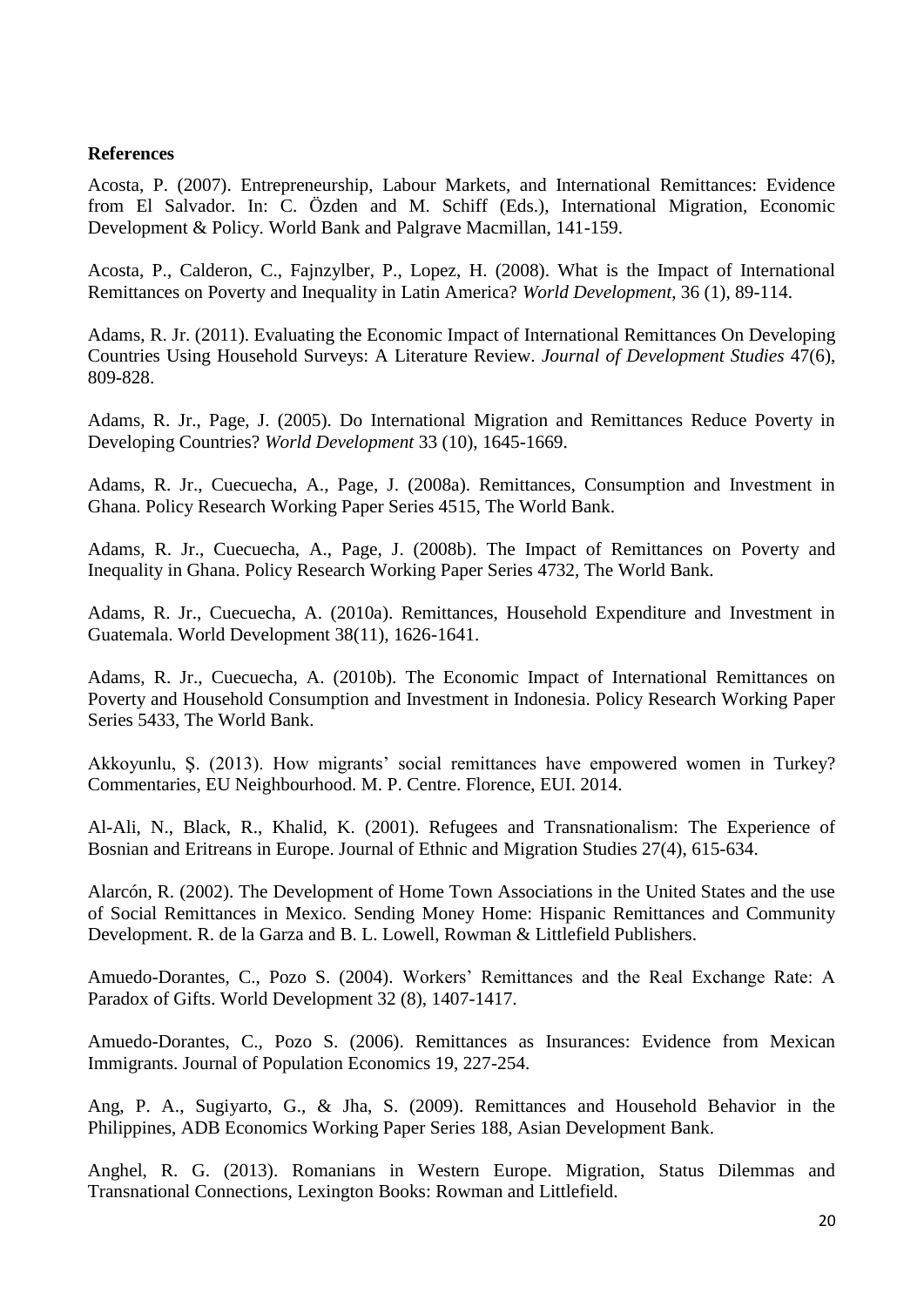#### **References**

Acosta, P. (2007). Entrepreneurship, Labour Markets, and International Remittances: Evidence from El Salvador. In: C. Özden and M. Schiff (Eds.), International Migration, Economic Development & Policy. World Bank and Palgrave Macmillan, 141-159.

Acosta, P., Calderon, C., Fajnzylber, P., Lopez, H. (2008). What is the Impact of International Remittances on Poverty and Inequality in Latin America? *World Development*, 36 (1), 89-114.

Adams, R. Jr. (2011). Evaluating the Economic Impact of International Remittances On Developing Countries Using Household Surveys: A Literature Review. *Journal of Development Studies* 47(6), 809-828.

Adams, R. Jr., Page, J. (2005). Do International Migration and Remittances Reduce Poverty in Developing Countries? *World Development* 33 (10), 1645-1669.

Adams, R. Jr., Cuecuecha, A., Page, J. (2008a). Remittances, Consumption and Investment in Ghana. Policy Research Working Paper Series 4515, The World Bank.

Adams, R. Jr., Cuecuecha, A., Page, J. (2008b). The Impact of Remittances on Poverty and Inequality in Ghana. Policy Research Working Paper Series 4732, The World Bank.

Adams, R. Jr., Cuecuecha, A. (2010a). Remittances, Household Expenditure and Investment in Guatemala. World Development 38(11), 1626-1641.

Adams, R. Jr., Cuecuecha, A. (2010b). The Economic Impact of International Remittances on Poverty and Household Consumption and Investment in Indonesia. Policy Research Working Paper Series 5433, The World Bank.

Akkoyunlu, Ş. (2013). How migrants' social remittances have empowered women in Turkey? Commentaries, EU Neighbourhood. M. P. Centre. Florence, EUI. 2014.

Al-Ali, N., Black, R., Khalid, K. (2001). Refugees and Transnationalism: The Experience of Bosnian and Eritreans in Europe. Journal of Ethnic and Migration Studies 27(4), 615-634.

Alarcón, R. (2002). The Development of Home Town Associations in the United States and the use of Social Remittances in Mexico. Sending Money Home: Hispanic Remittances and Community Development. R. de la Garza and B. L. Lowell, Rowman & Littlefield Publishers.

Amuedo-Dorantes, C., Pozo S. (2004). Workers' Remittances and the Real Exchange Rate: A Paradox of Gifts. World Development 32 (8), 1407-1417.

Amuedo-Dorantes, C., Pozo S. (2006). Remittances as Insurances: Evidence from Mexican Immigrants. Journal of Population Economics 19, 227-254.

Ang, P. A., Sugiyarto, G., & Jha, S. (2009). Remittances and Household Behavior in the Philippines, ADB Economics Working Paper Series 188, Asian Development Bank.

Anghel, R. G. (2013). Romanians in Western Europe. Migration, Status Dilemmas and Transnational Connections, Lexington Books: Rowman and Littlefield.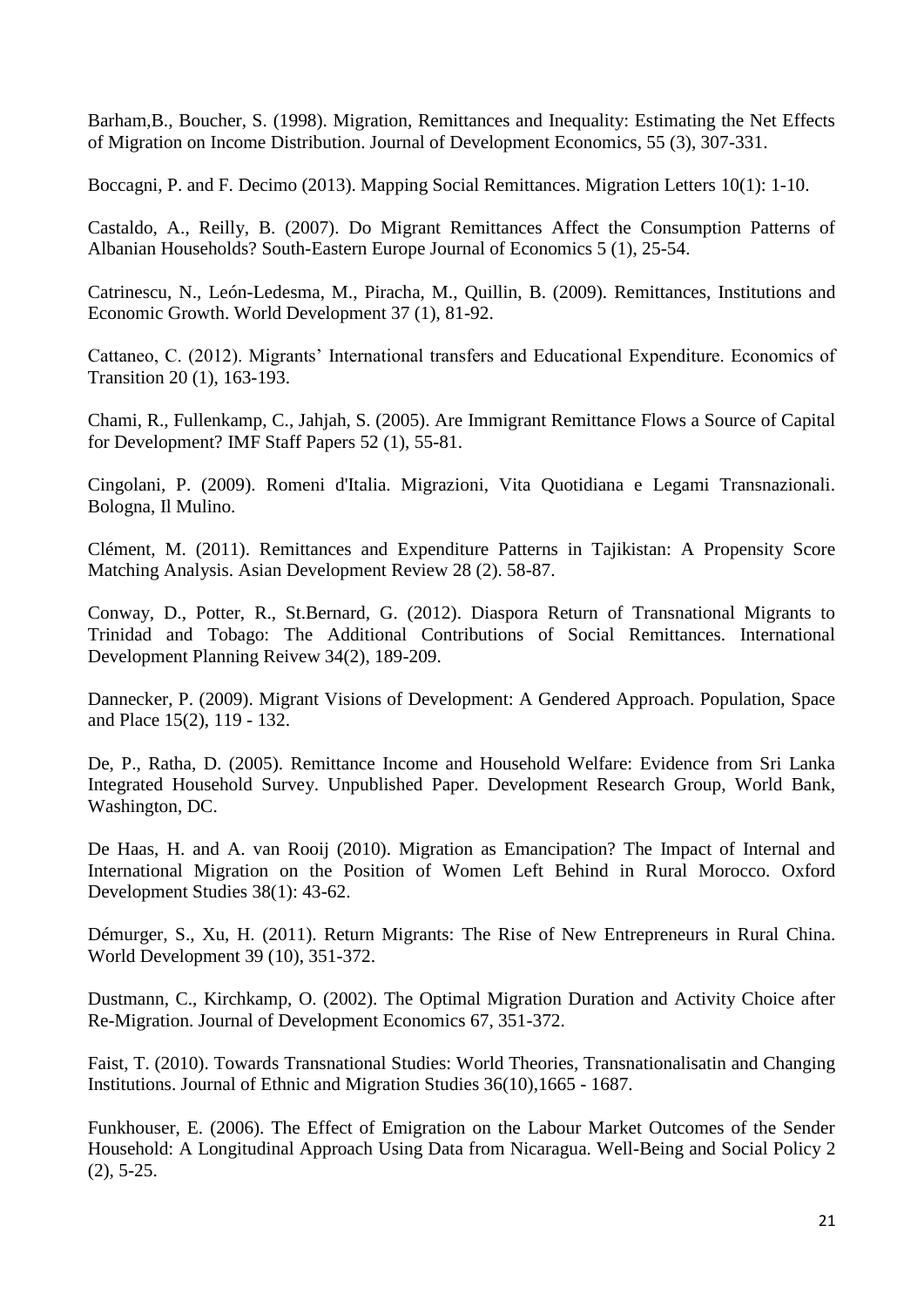Barham,B., Boucher, S. (1998). Migration, Remittances and Inequality: Estimating the Net Effects of Migration on Income Distribution. Journal of Development Economics, 55 (3), 307-331.

Boccagni, P. and F. Decimo (2013). Mapping Social Remittances. Migration Letters 10(1): 1-10.

Castaldo, A., Reilly, B. (2007). Do Migrant Remittances Affect the Consumption Patterns of Albanian Households? South-Eastern Europe Journal of Economics 5 (1), 25-54.

Catrinescu, N., León-Ledesma, M., Piracha, M., Quillin, B. (2009). Remittances, Institutions and Economic Growth. World Development 37 (1), 81-92.

Cattaneo, C. (2012). Migrants' International transfers and Educational Expenditure. Economics of Transition 20 (1), 163-193.

Chami, R., Fullenkamp, C., Jahjah, S. (2005). Are Immigrant Remittance Flows a Source of Capital for Development? IMF Staff Papers 52 (1), 55-81.

Cingolani, P. (2009). Romeni d'Italia. Migrazioni, Vita Quotidiana e Legami Transnazionali. Bologna, Il Mulino.

Clément, M. (2011). Remittances and Expenditure Patterns in Tajikistan: A Propensity Score Matching Analysis. Asian Development Review 28 (2). 58-87.

Conway, D., Potter, R., St.Bernard, G. (2012). Diaspora Return of Transnational Migrants to Trinidad and Tobago: The Additional Contributions of Social Remittances. International Development Planning Reivew 34(2), 189-209.

Dannecker, P. (2009). Migrant Visions of Development: A Gendered Approach. Population, Space and Place 15(2), 119 - 132.

De, P., Ratha, D. (2005). Remittance Income and Household Welfare: Evidence from Sri Lanka Integrated Household Survey. Unpublished Paper. Development Research Group, World Bank, Washington, DC.

De Haas, H. and A. van Rooij (2010). Migration as Emancipation? The Impact of Internal and International Migration on the Position of Women Left Behind in Rural Morocco. Oxford Development Studies 38(1): 43-62.

Démurger, S., Xu, H. (2011). Return Migrants: The Rise of New Entrepreneurs in Rural China. World Development 39 (10), 351-372.

Dustmann, C., Kirchkamp, O. (2002). The Optimal Migration Duration and Activity Choice after Re-Migration. Journal of Development Economics 67, 351-372.

Faist, T. (2010). Towards Transnational Studies: World Theories, Transnationalisatin and Changing Institutions. Journal of Ethnic and Migration Studies 36(10),1665 - 1687.

Funkhouser, E. (2006). The Effect of Emigration on the Labour Market Outcomes of the Sender Household: A Longitudinal Approach Using Data from Nicaragua. Well-Being and Social Policy 2 (2), 5-25.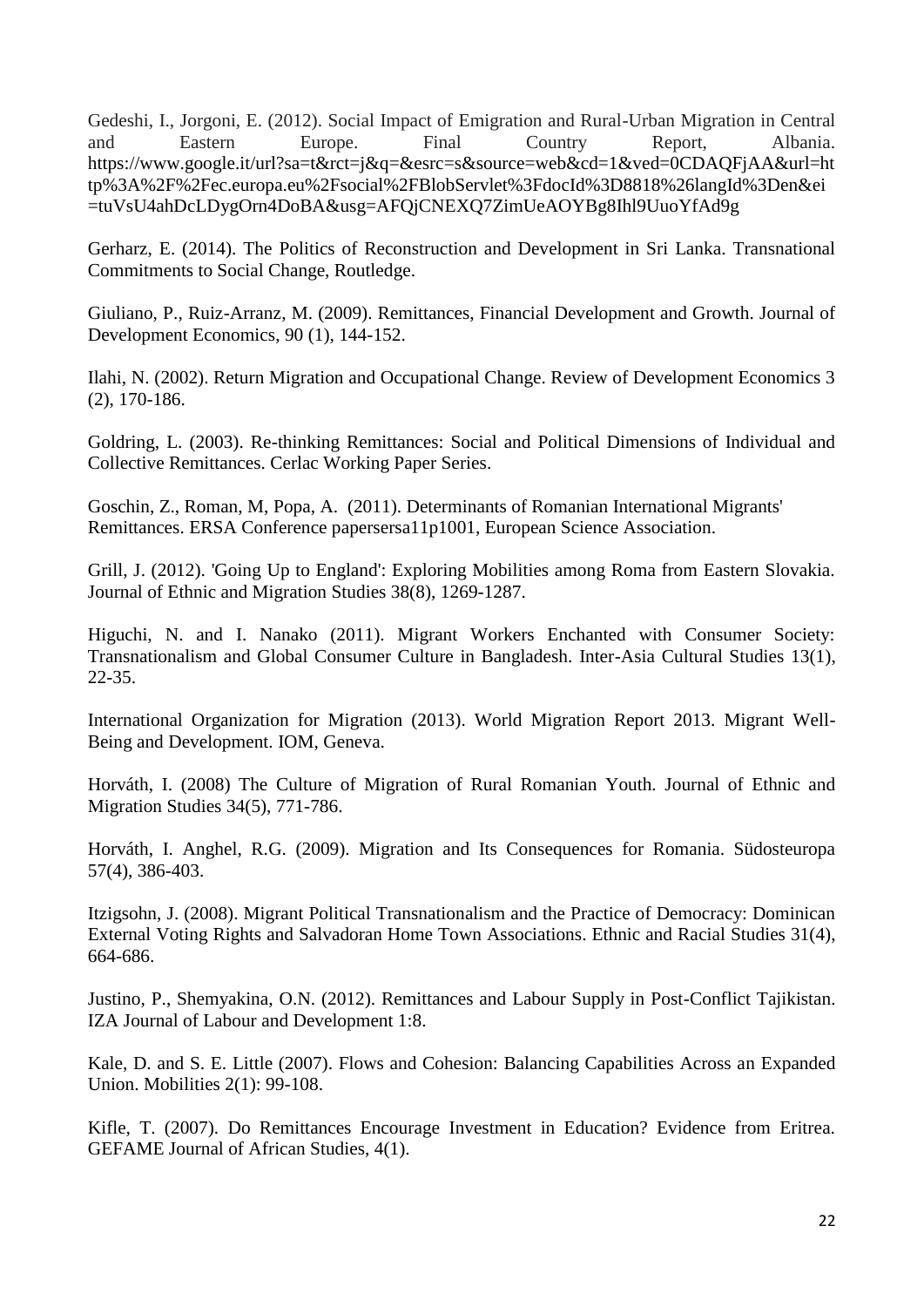Gedeshi, I., Jorgoni, E. (2012). Social Impact of Emigration and Rural-Urban Migration in Central and Eastern Europe. Final Country Report, Albania. [https://www.google.it/url?sa=t&rct=j&q=&esrc=s&source=web&cd=1&ved=0CDAQFjAA&url=ht](https://www.google.it/url?sa=t&rct=j&q=&esrc=s&source%20=web&cd=1&ved=0CDAQFjAA&url=http%3A%2F%2Fec.europa.eu%2Fsocial%2FBlobServlet%3FdocId%3D8818%26langId%3Den&ei=tuVsU4ahDcLDygOrn4DoBA&usg=AFQjCNEXQ7ZimUeAOYBg8Ihl9UuoYfAd9g) [tp%3A%2F%2Fec.europa.eu%2Fsocial%2FBlobServlet%3FdocId%3D8818%26langId%3Den&ei](https://www.google.it/url?sa=t&rct=j&q=&esrc=s&source%20=web&cd=1&ved=0CDAQFjAA&url=http%3A%2F%2Fec.europa.eu%2Fsocial%2FBlobServlet%3FdocId%3D8818%26langId%3Den&ei=tuVsU4ahDcLDygOrn4DoBA&usg=AFQjCNEXQ7ZimUeAOYBg8Ihl9UuoYfAd9g) [=tuVsU4ahDcLDygOrn4DoBA&usg=AFQjCNEXQ7ZimUeAOYBg8Ihl9UuoYfAd9g](https://www.google.it/url?sa=t&rct=j&q=&esrc=s&source%20=web&cd=1&ved=0CDAQFjAA&url=http%3A%2F%2Fec.europa.eu%2Fsocial%2FBlobServlet%3FdocId%3D8818%26langId%3Den&ei=tuVsU4ahDcLDygOrn4DoBA&usg=AFQjCNEXQ7ZimUeAOYBg8Ihl9UuoYfAd9g)

Gerharz, E. (2014). The Politics of Reconstruction and Development in Sri Lanka. Transnational Commitments to Social Change, Routledge.

Giuliano, P., Ruiz-Arranz, M. (2009). Remittances, Financial Development and Growth. Journal of Development Economics, 90 (1), 144-152.

Ilahi, N. (2002). Return Migration and Occupational Change. Review of Development Economics 3 (2), 170-186.

Goldring, L. (2003). Re-thinking Remittances: Social and Political Dimensions of Individual and Collective Remittances. Cerlac Working Paper Series.

Goschin, Z., Roman, M, Popa, A. (2011). Determinants of Romanian International Migrants' Remittances. ERSA Conference papersersa11p1001, European Science Association.

Grill, J. (2012). 'Going Up to England': Exploring Mobilities among Roma from Eastern Slovakia. Journal of Ethnic and Migration Studies 38(8), 1269-1287.

Higuchi, N. and I. Nanako (2011). Migrant Workers Enchanted with Consumer Society: Transnationalism and Global Consumer Culture in Bangladesh. Inter-Asia Cultural Studies 13(1), 22-35.

International Organization for Migration (2013). World Migration Report 2013. Migrant Well-Being and Development. IOM, Geneva.

Horváth, I. (2008) The Culture of Migration of Rural Romanian Youth. Journal of Ethnic and Migration Studies 34(5), 771-786.

Horváth, I. Anghel, R.G. (2009). Migration and Its Consequences for Romania. Südosteuropa 57(4), 386-403.

Itzigsohn, J. (2008). Migrant Political Transnationalism and the Practice of Democracy: Dominican External Voting Rights and Salvadoran Home Town Associations. Ethnic and Racial Studies 31(4), 664-686.

Justino, P., Shemyakina, O.N. (2012). Remittances and Labour Supply in Post-Conflict Tajikistan. IZA Journal of Labour and Development 1:8.

Kale, D. and S. E. Little (2007). Flows and Cohesion: Balancing Capabilities Across an Expanded Union. Mobilities 2(1): 99-108.

Kifle, T. (2007). Do Remittances Encourage Investment in Education? Evidence from Eritrea. GEFAME Journal of African Studies, 4(1).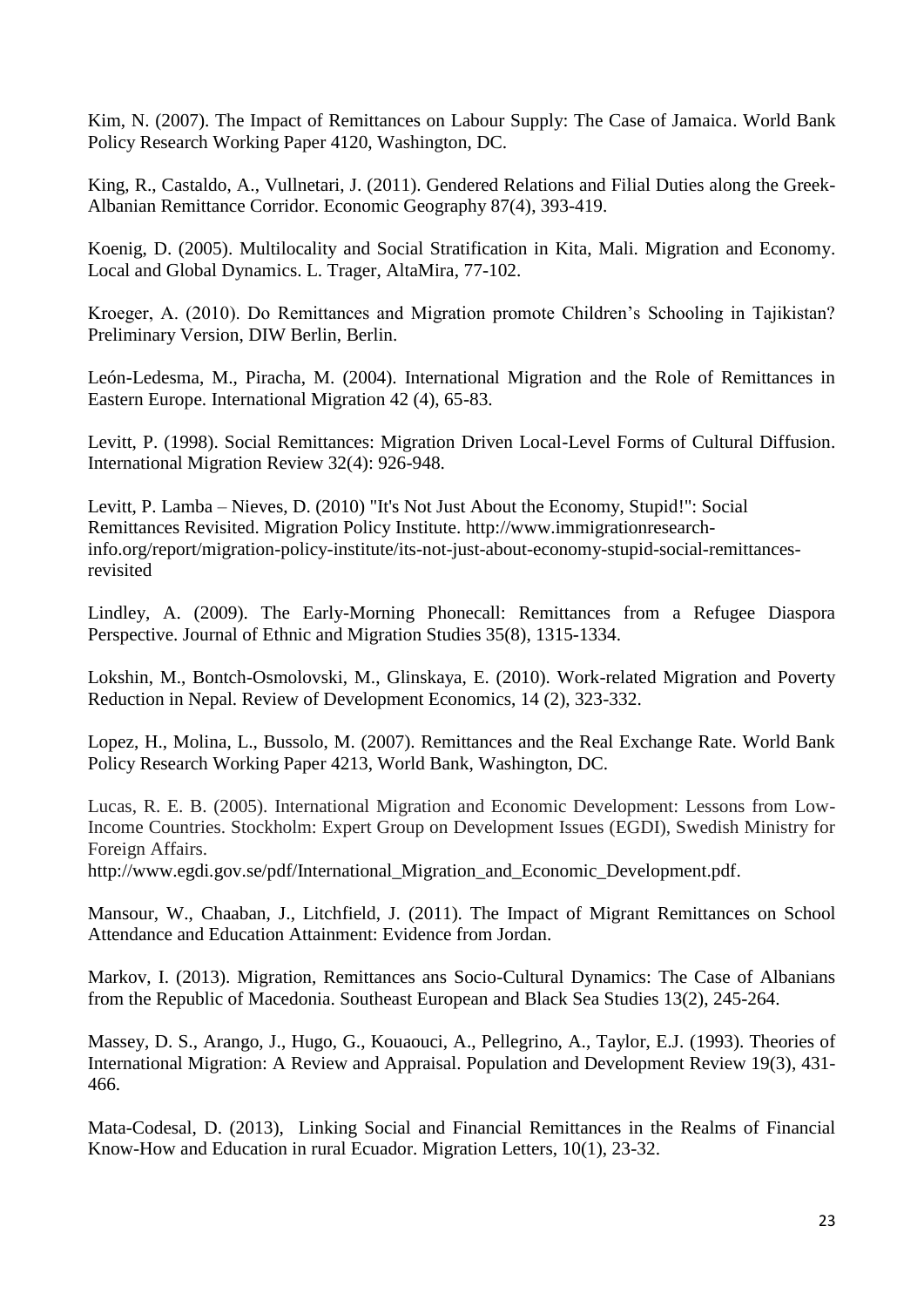Kim, N. (2007). The Impact of Remittances on Labour Supply: The Case of Jamaica. World Bank Policy Research Working Paper 4120, Washington, DC.

King, R., Castaldo, A., Vullnetari, J. (2011). Gendered Relations and Filial Duties along the Greek-Albanian Remittance Corridor. Economic Geography 87(4), 393-419.

Koenig, D. (2005). Multilocality and Social Stratification in Kita, Mali. Migration and Economy. Local and Global Dynamics. L. Trager, AltaMira, 77-102.

Kroeger, A. (2010). Do Remittances and Migration promote Children's Schooling in Tajikistan? Preliminary Version, DIW Berlin, Berlin.

León-Ledesma, M., Piracha, M. (2004). International Migration and the Role of Remittances in Eastern Europe. International Migration 42 (4), 65-83.

Levitt, P. (1998). Social Remittances: Migration Driven Local-Level Forms of Cultural Diffusion. International Migration Review 32(4): 926-948.

Levitt, P. Lamba – Nieves, D. (2010) "It's Not Just About the Economy, Stupid!": Social Remittances Revisited. Migration Policy Institute. http://www.immigrationresearchinfo.org/report/migration-policy-institute/its-not-just-about-economy-stupid-social-remittancesrevisited

Lindley, A. (2009). The Early-Morning Phonecall: Remittances from a Refugee Diaspora Perspective. Journal of Ethnic and Migration Studies 35(8), 1315-1334.

Lokshin, M., Bontch-Osmolovski, M., Glinskaya, E. (2010). Work-related Migration and Poverty Reduction in Nepal. Review of Development Economics, 14 (2), 323-332.

Lopez, H., Molina, L., Bussolo, M. (2007). Remittances and the Real Exchange Rate. World Bank Policy Research Working Paper 4213, World Bank, Washington, DC.

Lucas, R. E. B. (2005). International Migration and Economic Development: Lessons from Low-Income Countries. Stockholm: Expert Group on Development Issues (EGDI), Swedish Ministry for Foreign Affairs.

[http://www.egdi.gov.se/pdf/International\\_Migration\\_and\\_Economic\\_Development.pdf.](http://www.egdi.gov.se/pdf/International_Migration_and_Economic_Development.pdf)

Mansour, W., Chaaban, J., Litchfield, J. (2011). The Impact of Migrant Remittances on School Attendance and Education Attainment: Evidence from Jordan.

Markov, I. (2013). Migration, Remittances ans Socio-Cultural Dynamics: The Case of Albanians from the Republic of Macedonia. Southeast European and Black Sea Studies 13(2), 245-264.

Massey, D. S., Arango, J., Hugo, G., Kouaouci, A., Pellegrino, A., Taylor, E.J. (1993). Theories of International Migration: A Review and Appraisal. Population and Development Review 19(3), 431- 466.

Mata-Codesal, D. (2013), Linking Social and Financial Remittances in the Realms of Financial Know-How and Education in rural Ecuador. Migration Letters, 10(1), 23-32.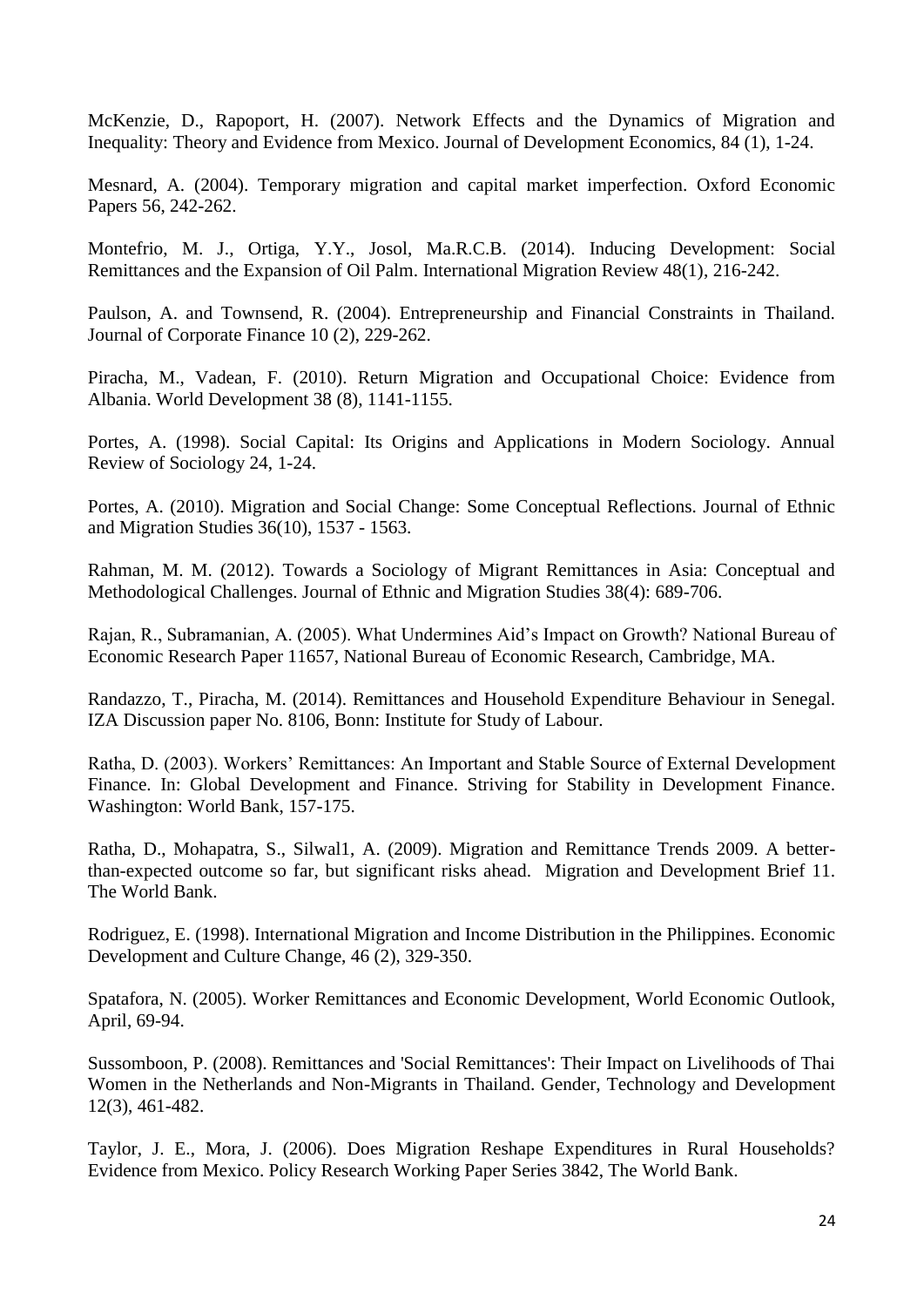McKenzie, D., Rapoport, H. (2007). Network Effects and the Dynamics of Migration and Inequality: Theory and Evidence from Mexico. Journal of Development Economics, 84 (1), 1-24.

Mesnard, A. (2004). Temporary migration and capital market imperfection. Oxford Economic Papers 56, 242-262.

Montefrio, M. J., Ortiga, Y.Y., Josol, Ma.R.C.B. (2014). Inducing Development: Social Remittances and the Expansion of Oil Palm. International Migration Review 48(1), 216-242.

Paulson, A. and Townsend, R. (2004). Entrepreneurship and Financial Constraints in Thailand. Journal of Corporate Finance 10 (2), 229-262.

Piracha, M., Vadean, F. (2010). Return Migration and Occupational Choice: Evidence from Albania. World Development 38 (8), 1141-1155.

Portes, A. (1998). Social Capital: Its Origins and Applications in Modern Sociology. Annual Review of Sociology 24, 1-24.

Portes, A. (2010). Migration and Social Change: Some Conceptual Reflections. Journal of Ethnic and Migration Studies 36(10), 1537 - 1563.

Rahman, M. M. (2012). Towards a Sociology of Migrant Remittances in Asia: Conceptual and Methodological Challenges. Journal of Ethnic and Migration Studies 38(4): 689-706.

Rajan, R., Subramanian, A. (2005). What Undermines Aid's Impact on Growth? National Bureau of Economic Research Paper 11657, National Bureau of Economic Research, Cambridge, MA.

Randazzo, T., Piracha, M. (2014). Remittances and Household Expenditure Behaviour in Senegal. IZA Discussion paper No. 8106, Bonn: Institute for Study of Labour.

Ratha, D. (2003). Workers' Remittances: An Important and Stable Source of External Development Finance. In: Global Development and Finance. Striving for Stability in Development Finance. Washington: World Bank, 157-175.

Ratha, D., Mohapatra, S., Silwal1, A. (2009). Migration and Remittance Trends 2009. A betterthan-expected outcome so far, but significant risks ahead. Migration and Development Brief 11. The World Bank.

Rodriguez, E. (1998). International Migration and Income Distribution in the Philippines. Economic Development and Culture Change, 46 (2), 329-350.

Spatafora, N. (2005). Worker Remittances and Economic Development, World Economic Outlook, April, 69-94.

Sussomboon, P. (2008). Remittances and 'Social Remittances': Their Impact on Livelihoods of Thai Women in the Netherlands and Non-Migrants in Thailand. Gender, Technology and Development 12(3), 461-482.

Taylor, J. E., Mora, J. (2006). Does Migration Reshape Expenditures in Rural Households? Evidence from Mexico. Policy Research Working Paper Series 3842, The World Bank.